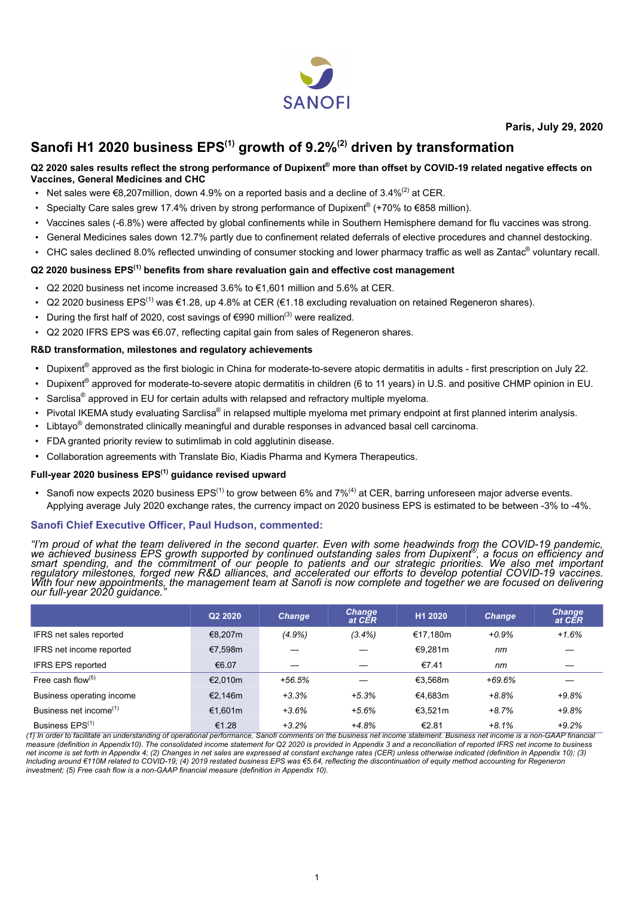

**Paris, July 29, 2020**

# **Sanofi H1 2020 business EPS(1) growth of 9.2%(2) driven by transformation**

#### **Q2 2020 sales results reflect the strong performance of Dupixent® more than offset by COVID-19 related negative effects on Vaccines, General Medicines and CHC**

- Net sales were  $\epsilon$ 8,207 million, down 4.9% on a reported basis and a decline of 3.4%<sup>(2)</sup> at CER.
- Specialty Care sales grew 17.4% driven by strong performance of Dupixent<sup>®</sup> (+70% to €858 million).
- Vaccines sales (-6.8%) were affected by global confinements while in Southern Hemisphere demand for flu vaccines was strong.
- General Medicines sales down 12.7% partly due to confinement related deferrals of elective procedures and channel destocking.
- CHC sales declined 8.0% reflected unwinding of consumer stocking and lower pharmacy traffic as well as Zantac<sup>®</sup> voluntary recall.

#### **Q2 2020 business EPS(1) benefits from share revaluation gain and effective cost management**

- Q2 2020 business net income increased 3.6% to  $\epsilon$ 1.601 million and 5.6% at CER.
- Q2 2020 business EPS<sup>(1)</sup> was €1.28, up 4.8% at CER (€1.18 excluding revaluation on retained Regeneron shares).
- During the first half of 2020, cost savings of  $\epsilon$ 990 million<sup>(3)</sup> were realized.
- Q2 2020 IFRS EPS was €6.07, reflecting capital gain from sales of Regeneron shares.

#### **R&D transformation, milestones and regulatory achievements**

- Dupixent<sup>®</sup> approved as the first biologic in China for moderate-to-severe atopic dermatitis in adults first prescription on July 22.
- Dupixent<sup>®</sup> approved for moderate-to-severe atopic dermatitis in children (6 to 11 years) in U.S. and positive CHMP opinion in EU.
- Sarclisa® approved in EU for certain adults with relapsed and refractory multiple myeloma.
- Pivotal IKEMA study evaluating Sarclisa® in relapsed multiple myeloma met primary endpoint at first planned interim analysis.
- $\cdot$  Libtayo® demonstrated clinically meaningful and durable responses in advanced basal cell carcinoma.
- FDA granted priority review to sutimlimab in cold agglutinin disease.
- Collaboration agreements with Translate Bio, Kiadis Pharma and Kymera Therapeutics.

#### **Full-year 2020 business EPS(1) guidance revised upward**

• Sanofi now expects 2020 business  $EPS^{(1)}$  to grow between 6% and 7%<sup>(4)</sup> at CER, barring unforeseen major adverse events. Applying average July 2020 exchange rates, the currency impact on 2020 business EPS is estimated to be between -3% to -4%.

#### **Sanofi Chief Executive Officer, Paul Hudson, commented:**

"I'm proud of what the team delivered in the second quarter. Even with some headwinds from the COVID-19 pandemic,<br>we achieved business EPS growth supported by continued outstanding sales from Dupixent®, a focus on efficien *smart spending, and the commitment of our people to patients and our strategic priorities. We also met important regulatory milestones, forged new R&D alliances, and accelerated our efforts to develop potential COVID-19 vaccines. With four new appointments, the management team at Sanofi is now complete and together we are focused on delivering our full-year 2020 guidance."*

|                                    | Q2 2020 | <b>Change</b> | <b>Change</b><br>at CER | H1 2020  | <b>Change</b> | <b>Change</b><br>at CER |
|------------------------------------|---------|---------------|-------------------------|----------|---------------|-------------------------|
| IFRS net sales reported            | €8,207m | $(4.9\%)$     | $(3.4\%)$               | €17.180m | $+0.9%$       | $+1.6%$                 |
| IFRS net income reported           | €7,598m |               |                         | €9.281m  | nm            |                         |
| <b>IFRS EPS reported</b>           | €6.07   |               |                         | €7.41    | nm            |                         |
| Free cash flow $(5)$               | €2.010m | $+56.5%$      |                         | €3.568m  | $+69.6%$      |                         |
| Business operating income          | €2.146m | $+3.3%$       | $+5.3%$                 | €4.683m  | $+8.8%$       | $+9.8%$                 |
| Business net income <sup>(1)</sup> | €1,601m | $+3.6%$       | $+5.6%$                 | €3.521m  | $+8.7%$       | $+9.8%$                 |
| Business EPS <sup>(1)</sup>        | €1.28   | $+3.2%$       | $+4.8%$                 | €2.81    | $+8.1%$       | $+9.2%$                 |

*(1) In order to facilitate an understanding of operational performance, Sanofi comments on the business net income statement. Business net income is a non-GAAP financial measure (definition in Appendix10). The consolidated income statement for Q2 2020 is provided in Appendix 3 and a reconciliation of reported IFRS net income to business net income is set forth in Appendix 4; (2) Changes in net sales are expressed at constant exchange rates (CER) unless otherwise indicated (definition in Appendix 10); (3) Including around €110M related to COVID-19; (4) 2019 restated business EPS was €5.64, reflecting the discontinuation of equity method accounting for Regeneron investment; (5) Free cash flow is a non-GAAP financial measure (definition in Appendix 10).*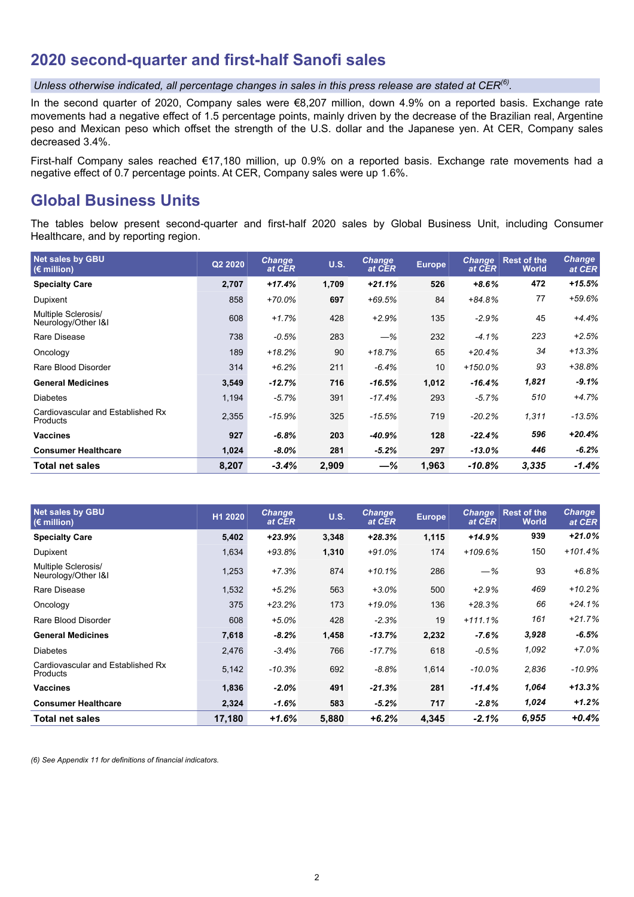# **2020 second-quarter and first-half Sanofi sales**

*Unless otherwise indicated, all percentage changes in sales in this press release are stated at CER(6) .*

In the second quarter of 2020, Company sales were €8,207 million, down 4.9% on a reported basis. Exchange rate movements had a negative effect of 1.5 percentage points, mainly driven by the decrease of the Brazilian real, Argentine peso and Mexican peso which offset the strength of the U.S. dollar and the Japanese yen. At CER, Company sales decreased 3.4%.

First-half Company sales reached €17,180 million, up 0.9% on a reported basis. Exchange rate movements had a negative effect of 0.7 percentage points. At CER, Company sales were up 1.6%.

# **Global Business Units**

The tables below present second-quarter and first-half 2020 sales by Global Business Unit, including Consumer Healthcare, and by reporting region.

| <b>Net sales by GBU</b><br>$(E \text{ million})$     | Q2 2020 | <b>Change</b><br>at CER | U.S.  | <b>Change</b><br>at CER | <b>Europe</b> | <b>Change</b><br>at CER | <b>Rest of the</b><br><b>World</b> | <b>Change</b><br>at CER |
|------------------------------------------------------|---------|-------------------------|-------|-------------------------|---------------|-------------------------|------------------------------------|-------------------------|
| <b>Specialty Care</b>                                | 2,707   | $+17.4%$                | 1,709 | $+21.1%$                | 526           | $+8.6%$                 | 472                                | $+15.5%$                |
| Dupixent                                             | 858     | $+70.0\%$               | 697   | $+69.5%$                | 84            | $+84.8%$                | 77                                 | $+59.6%$                |
| Multiple Sclerosis/<br>Neurology/Other I&I           | 608     | $+1.7%$                 | 428   | $+2.9%$                 | 135           | $-2.9%$                 | 45                                 | $+4.4%$                 |
| Rare Disease                                         | 738     | $-0.5%$                 | 283   | $-\%$                   | 232           | $-4.1%$                 | 223                                | $+2.5%$                 |
| Oncology                                             | 189     | $+18.2%$                | 90    | $+18.7%$                | 65            | $+20.4%$                | 34                                 | $+13.3%$                |
| Rare Blood Disorder                                  | 314     | $+6.2%$                 | 211   | $-6.4%$                 | 10            | $+150.0%$               | 93                                 | +38.8%                  |
| <b>General Medicines</b>                             | 3,549   | -12.7%                  | 716   | $-16.5%$                | 1,012         | $-16.4%$                | 1,821                              | $-9.1\%$                |
| <b>Diabetes</b>                                      | 1,194   | $-5.7\%$                | 391   | $-17.4%$                | 293           | $-5.7%$                 | 510                                | $+4.7%$                 |
| Cardiovascular and Established Rx<br><b>Products</b> | 2,355   | $-15.9%$                | 325   | $-15.5%$                | 719           | $-20.2%$                | 1,311                              | -13.5%                  |
| <b>Vaccines</b>                                      | 927     | $-6.8\%$                | 203   | -40.9%                  | 128           | $-22.4%$                | 596                                | +20.4%                  |
| <b>Consumer Healthcare</b>                           | 1,024   | $-8.0\%$                | 281   | $-5.2%$                 | 297           | $-13.0\%$               | 446                                | $-6.2%$                 |
| Total net sales                                      | 8,207   | $-3.4%$                 | 2,909 | —%                      | 1,963         | $-10.8%$                | 3,335                              | $-1.4%$                 |

| <b>Net sales by GBU</b><br>$(E \text{ million})$ | H1 2020 | <b>Change</b><br>at CER | <b>U.S.</b> | <b>Change</b><br>at CER | <b>Europe</b> | <b>Change</b><br>at CER | <b>Rest of the</b><br><b>World</b> | <b>Change</b><br>at CER |
|--------------------------------------------------|---------|-------------------------|-------------|-------------------------|---------------|-------------------------|------------------------------------|-------------------------|
| <b>Specialty Care</b>                            | 5,402   | $+23.9%$                | 3,348       | $+28.3%$                | 1,115         | $+14.9%$                | 939                                | $+21.0%$                |
| Dupixent                                         | 1,634   | $+93.8%$                | 1,310       | $+91.0%$                | 174           | $+109.6%$               | 150                                | $+101.4%$               |
| Multiple Sclerosis/<br>Neurology/Other I&I       | 1,253   | $+7.3%$                 | 874         | $+10.1%$                | 286           | $-\%$                   | 93                                 | $+6.8%$                 |
| Rare Disease                                     | 1,532   | $+5.2%$                 | 563         | $+3.0%$                 | 500           | $+2.9%$                 | 469                                | $+10.2%$                |
| Oncology                                         | 375     | $+23.2%$                | 173         | $+19.0%$                | 136           | $+28.3%$                | 66                                 | $+24.1%$                |
| Rare Blood Disorder                              | 608     | $+5.0%$                 | 428         | $-2.3%$                 | 19            | $+111.1%$               | 161                                | $+21.7%$                |
| <b>General Medicines</b>                         | 7,618   | $-8.2%$                 | 1,458       | $-13.7%$                | 2,232         | $-7.6\%$                | 3,928                              | $-6.5%$                 |
| <b>Diabetes</b>                                  | 2,476   | $-3.4%$                 | 766         | $-17.7%$                | 618           | $-0.5%$                 | 1,092                              | $+7.0%$                 |
| Cardiovascular and Established Rx<br>Products    | 5,142   | $-10.3%$                | 692         | $-8.8%$                 | 1,614         | $-10.0\%$               | 2,836                              | $-10.9%$                |
| <b>Vaccines</b>                                  | 1,836   | $-2.0%$                 | 491         | $-21.3%$                | 281           | $-11.4%$                | 1,064                              | $+13.3%$                |
| <b>Consumer Healthcare</b>                       | 2,324   | $-1.6%$                 | 583         | $-5.2%$                 | 717           | $-2.8%$                 | 1,024                              | $+1.2%$                 |
| <b>Total net sales</b>                           | 17,180  | $+1.6%$                 | 5,880       | $+6.2%$                 | 4,345         | $-2.1%$                 | 6,955                              | $+0.4%$                 |

*(6) See Appendix 11 for definitions of financial indicators.*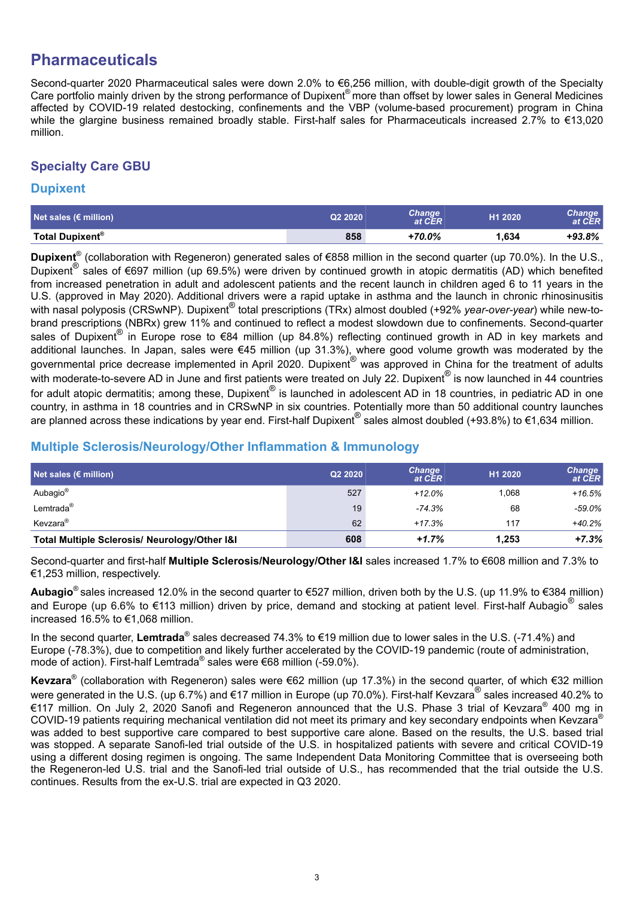# **Pharmaceuticals**

Second-quarter 2020 Pharmaceutical sales were down 2.0% to €6,256 million, with double-digit growth of the Specialty Care portfolio mainly driven by the strong performance of Dupixent® more than offset by lower sales in General Medicines affected by COVID-19 related destocking, confinements and the VBP (volume-based procurement) program in China while the glargine business remained broadly stable. First-half sales for Pharmaceuticals increased 2.7% to €13,020 million.

## **Specialty Care GBU**

### **Dupixent**

| Net sales ( $\epsilon$ million) | Q2 2020 | Change<br>at CER | H1 2020 | Change<br>at CER |
|---------------------------------|---------|------------------|---------|------------------|
| Total Dupixent <sup>®</sup>     | 858     | +70.0%           | .634،   | $+93.8\%$        |

**Dupixent**® (collaboration with Regeneron) generated sales of €858 million in the second quarter (up 70.0%). In the U.S., Dupixent® sales of €697 million (up 69.5%) were driven by continued growth in atopic dermatitis (AD) which benefited from increased penetration in adult and adolescent patients and the recent launch in children aged 6 to 11 years in the U.S. (approved in May 2020). Additional drivers were a rapid uptake in asthma and the launch in chronic rhinosinusitis with nasal polyposis (CRSwNP). Dupixent<sup>®</sup> total prescriptions (TRx) almost doubled (+92% *year-over-year*) while new-tobrand prescriptions (NBRx) grew 11% and continued to reflect a modest slowdown due to confinements. Second-quarter sales of Dupixent<sup>®</sup> in Europe rose to €84 million (up 84.8%) reflecting continued growth in AD in key markets and additional launches. In Japan, sales were €45 million (up 31.3%), where good volume growth was moderated by the governmental price decrease implemented in April 2020. Dupixent<sup>®</sup> was approved in China for the treatment of adults with moderate-to-severe AD in June and first patients were treated on July 22. Dupixent $^{\circledR}$  is now launched in 44 countries for adult atopic dermatitis; among these, Dupixent $^{\circledR}$  is launched in adolescent AD in 18 countries, in pediatric AD in one country, in asthma in 18 countries and in CRSwNP in six countries. Potentially more than 50 additional country launches are planned across these indications by year end. First-half Dupixent® sales almost doubled (+93.8%) to €1,634 million.

## **Multiple Sclerosis/Neurology/Other Inflammation & Immunology**

| Net sales $\overline{\epsilon}$ million)      | Q2 2020 | <b>Change</b><br>at CER | H1 2020 | <b>Change</b><br>at CER |
|-----------------------------------------------|---------|-------------------------|---------|-------------------------|
| Aubagio <sup>®</sup>                          | 527     | $+12.0%$                | 1.068   | $+16.5%$                |
| Lemtrada <sup>®</sup>                         | 19      | $-74.3%$                | 68      | -59.0%                  |
| Kevzara <sup>®</sup>                          | 62      | $+17.3%$                | 117     | $+40.2%$                |
| Total Multiple Sclerosis/ Neurology/Other I&I | 608     | $+1.7%$                 | 1.253   | $+7.3%$                 |

Second-quarter and first-half **Multiple Sclerosis/Neurology/Other I&I** sales increased 1.7% to €608 million and 7.3% to €1,253 million, respectively.

**Aubagio**® sales increased 12.0% in the second quarter to €527 million, driven both by the U.S. (up 11.9% to €384 million) and Europe (up 6.6% to €113 million) driven by price, demand and stocking at patient level. First-half Aubagio® sales increased 16.5% to €1,068 million.

In the second quarter, Lemtrada<sup>®</sup> sales decreased 74.3% to €19 million due to lower sales in the U.S. (-71.4%) and Europe (-78.3%), due to competition and likely further accelerated by the COVID-19 pandemic (route of administration, mode of action). First-half Lemtrada<sup>®</sup> sales were €68 million (-59.0%).

**Kevzara**® (collaboration with Regeneron) sales were €62 million (up 17.3%) in the second quarter, of which €32 million were generated in the U.S. (up 6.7%) and €17 million in Europe (up 70.0%). First-half Kevzara® sales increased 40.2% to €117 million. On July 2, 2020 Sanofi and Regeneron announced that the U.S. Phase 3 trial of Kevzara® 400 mg in COVID-19 patients requiring mechanical ventilation did not meet its primary and key secondary endpoints when Kevzara® was added to best supportive care compared to best supportive care alone. Based on the results, the U.S. based trial was stopped. A separate Sanofi-led trial outside of the U.S. in hospitalized patients with severe and critical COVID-19 using a different dosing regimen is ongoing. The same Independent Data Monitoring Committee that is overseeing both the Regeneron-led U.S. trial and the Sanofi-led trial outside of U.S., has recommended that the trial outside the U.S. continues. Results from the ex-U.S. trial are expected in Q3 2020.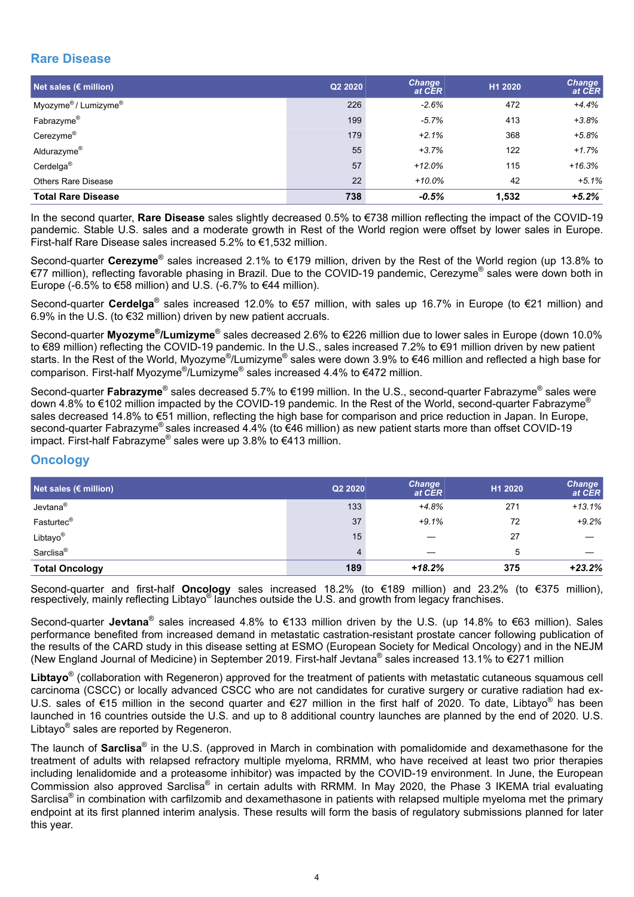## **Rare Disease**

| Net sales ( $\epsilon$ million) | Q2 2020 | <b>Change</b><br>at CER | H1 2020 | <b>Change</b><br>at CER |
|---------------------------------|---------|-------------------------|---------|-------------------------|
| Myozyme®/ Lumizyme®             | 226     | $-2.6%$                 | 472     | $+4.4%$                 |
| Fabrazyme®                      | 199     | $-5.7%$                 | 413     | $+3.8%$                 |
| Cerezyme®                       | 179     | $+2.1%$                 | 368     | $+5.8%$                 |
| Aldurazyme <sup>®</sup>         | 55      | $+3.7%$                 | 122     | $+1.7%$                 |
| Cerdelga <sup>®</sup>           | 57      | $+12.0%$                | 115     | $+16.3%$                |
| <b>Others Rare Disease</b>      | 22      | $+10.0%$                | 42      | $+5.1%$                 |
| <b>Total Rare Disease</b>       | 738     | $-0.5%$                 | 1.532   | $+5.2%$                 |

In the second quarter, **Rare Disease** sales slightly decreased 0.5% to €738 million reflecting the impact of the COVID-19 pandemic. Stable U.S. sales and a moderate growth in Rest of the World region were offset by lower sales in Europe. First-half Rare Disease sales increased 5.2% to €1,532 million.

Second-quarter Cerezyme<sup>®</sup> sales increased 2.1% to €179 million, driven by the Rest of the World region (up 13.8% to €77 million), reflecting favorable phasing in Brazil. Due to the COVID-19 pandemic, Cerezyme® sales were down both in Europe (-6.5% to €58 million) and U.S. (-6.7% to €44 million).

Second-quarter **Cerdelga**<sup>®</sup> sales increased 12.0% to €57 million, with sales up 16.7% in Europe (to €21 million) and 6.9% in the U.S. (to €32 million) driven by new patient accruals.

Second-quarter Myozyme<sup>®</sup>/Lumizyme<sup>®</sup> sales decreased 2.6% to €226 million due to lower sales in Europe (down 10.0% to €89 million) reflecting the COVID-19 pandemic. In the U.S., sales increased 7.2% to €91 million driven by new patient starts. In the Rest of the World, Myozyme®/Lumizyme® sales were down 3.9% to €46 million and reflected a high base for comparison. First-half Myozyme<sup>®</sup>/Lumizyme<sup>®</sup> sales increased 4.4% to €472 million.

Second-quarter **Fabrazyme**® sales decreased 5.7% to €199 million. In the U.S., second-quarter Fabrazyme<sup>®</sup> sales were down 4.8% to €102 million impacted by the COVID-19 pandemic. In the Rest of the World, second-quarter Fabrazyme<sup>®</sup> sales decreased 14.8% to €51 million, reflecting the high base for comparison and price reduction in Japan. In Europe, second-quarter Fabrazyme<sup>®</sup> sales increased 4.4% (to €46 million) as new patient starts more than offset COVID-19 impact. First-half Fabrazyme® sales were up 3.8% to €413 million.

### **Oncology**

| Net sales $\overline{\epsilon}$ million) | Q2 2020 | <b>Change</b><br>at CER | H1 2020 | <b>Change</b><br>at $\tilde{\mathsf{CER}}$ |
|------------------------------------------|---------|-------------------------|---------|--------------------------------------------|
| Jevtana <sup>®</sup>                     | 133     | $+4.8%$                 | 271     | $+13.1%$                                   |
| Fasturtec <sup>®</sup>                   | 37      | $+9.1%$                 | 72      | $+9.2%$                                    |
| Libtayo®                                 | 15      |                         | 27      |                                            |
| Sarclisa <sup>®</sup>                    | 4       |                         | 5       |                                            |
| <b>Total Oncology</b>                    | 189     | $+18.2%$                | 375     | $+23.2%$                                   |

Second-quarter and first-half **Oncology** sales increased 18.2% (to €189 million) and 23.2% (to €375 million), respectively, mainly reflecting Libtayo<sup>®</sup> launches outside the U.S. and growth from legacy franchises.

Second-quarter Jevtana<sup>®</sup> sales increased 4.8% to €133 million driven by the U.S. (up 14.8% to €63 million). Sales performance benefited from increased demand in metastatic castration-resistant prostate cancer following publication of the results of the CARD study in this disease setting at ESMO (European Society for Medical Oncology) and in the NEJM (New England Journal of Medicine) in September 2019. First-half Jevtana® sales increased 13.1% to €271 million

**Libtayo**® (collaboration with Regeneron) approved for the treatment of patients with metastatic cutaneous squamous cell carcinoma (CSCC) or locally advanced CSCC who are not candidates for curative surgery or curative radiation had ex-U.S. sales of €15 million in the second quarter and €27 million in the first half of 2020. To date, Libtayo® has been launched in 16 countries outside the U.S. and up to 8 additional country launches are planned by the end of 2020. U.S. Libtayo<sup>®</sup> sales are reported by Regeneron.

The launch of **Sarclisa**® in the U.S. (approved in March in combination with pomalidomide and dexamethasone for the treatment of adults with relapsed refractory multiple myeloma, RRMM, who have received at least two prior therapies including lenalidomide and a proteasome inhibitor) was impacted by the COVID-19 environment. In June, the European Commission also approved Sarclisa® in certain adults with RRMM. In May 2020, the Phase 3 IKEMA trial evaluating Sarclisa® in combination with carfilzomib and dexamethasone in patients with relapsed multiple myeloma met the primary endpoint at its first planned interim analysis. These results will form the basis of regulatory submissions planned for later this year.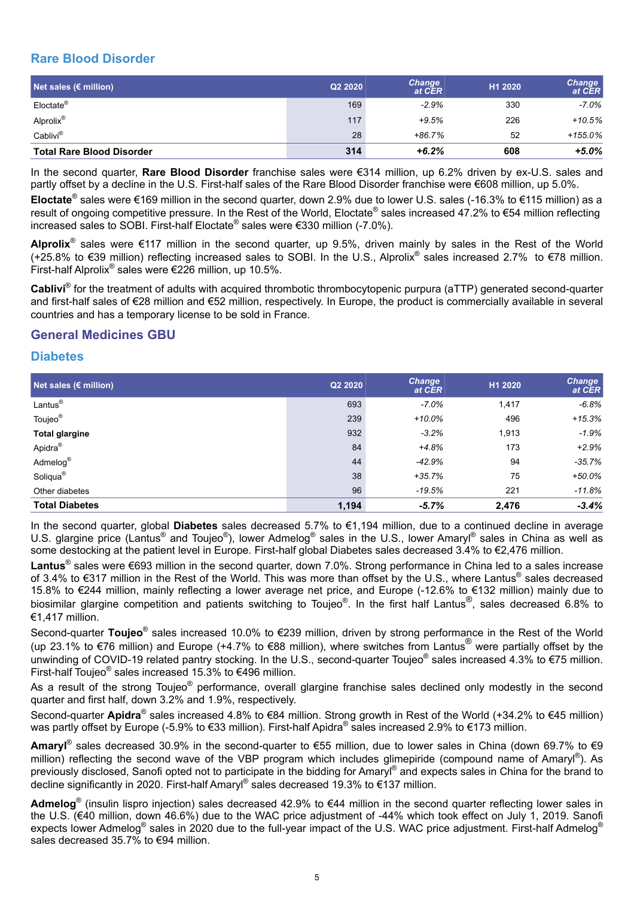## **Rare Blood Disorder**

| Net sales $\overline{\epsilon}$ million) | Q2 2020 | <b>Change</b><br>at CER | H1 2020 | <b>Change</b><br>at CER |
|------------------------------------------|---------|-------------------------|---------|-------------------------|
| Eloctate <sup>®</sup>                    | 169     | $-2.9%$                 | 330     | $-7.0\%$                |
| Alprolix <sup>®</sup>                    | 117     | $+9.5%$                 | 226     | $+10.5%$                |
| Cablivi®                                 | 28      | $+86.7%$                | 52      | $+155.0%$               |
| <b>Total Rare Blood Disorder</b>         | 314     | $+6.2%$                 | 608     | $+5.0%$                 |

In the second quarter, **Rare Blood Disorder** franchise sales were €314 million, up 6.2% driven by ex-U.S. sales and partly offset by a decline in the U.S. First-half sales of the Rare Blood Disorder franchise were €608 million, up 5.0%.

**Eloctate**® sales were €169 million in the second quarter, down 2.9% due to lower U.S. sales (-16.3% to €115 million) as a result of ongoing competitive pressure. In the Rest of the World, Eloctate® sales increased 47.2% to €54 million reflecting increased sales to SOBI. First-half Eloctate® sales were €330 million (-7.0%).

**Alprolix**® sales were €117 million in the second quarter, up 9.5%, driven mainly by sales in the Rest of the World (+25.8% to €39 million) reflecting increased sales to SOBI. In the U.S., Alprolix® sales increased 2.7% to €78 million. First-half Alprolix<sup>®</sup> sales were €226 million, up 10.5%.

**Cablivi**® for the treatment of adults with acquired thrombotic thrombocytopenic purpura (aTTP) generated second-quarter and first-half sales of €28 million and €52 million, respectively. In Europe, the product is commercially available in several countries and has a temporary license to be sold in France.

### **General Medicines GBU**

### **Diabetes**

| Net sales ( $\varepsilon$ million) | Q2 2020 | <b>Change</b><br>at CER | H1 2020 | <b>Change</b><br>at CER |
|------------------------------------|---------|-------------------------|---------|-------------------------|
| Lantus <sup>®</sup>                | 693     | $-7.0%$                 | 1,417   | $-6.8%$                 |
| Toujeo <sup>®</sup>                | 239     | $+10.0%$                | 496     | $+15.3%$                |
| <b>Total glargine</b>              | 932     | $-3.2%$                 | 1,913   | $-1.9%$                 |
| Apidra <sup>®</sup>                | 84      | $+4.8%$                 | 173     | $+2.9%$                 |
| Admelog®                           | 44      | $-42.9%$                | 94      | -35.7%                  |
| Soliqua <sup>®</sup>               | 38      | $+35.7%$                | 75      | +50.0%                  |
| Other diabetes                     | 96      | $-19.5%$                | 221     | $-11.8%$                |
| <b>Total Diabetes</b>              | 1,194   | $-5.7%$                 | 2,476   | $-3.4%$                 |

In the second quarter, global **Diabetes** sales decreased 5.7% to €1,194 million, due to a continued decline in average U.S. glargine price (Lantus<sup>®</sup> and Toujeo<sup>®</sup>), lower Admelog<sup>®</sup> sales in the U.S., lower Amaryl<sup>®</sup> sales in China as well as some destocking at the patient level in Europe. First-half global Diabetes sales decreased 3.4% to €2,476 million.

**Lantus**® sales were €693 million in the second quarter, down 7.0%. Strong performance in China led to a sales increase of 3.4% to €317 million in the Rest of the World. This was more than offset by the U.S., where Lantus® sales decreased 15.8% to €244 million, mainly reflecting a lower average net price, and Europe (-12.6% to €132 million) mainly due to biosimilar glargine competition and patients switching to Toujeo®. In the first half Lantus®, sales decreased 6.8% to €1,417 million.

Second-quarter **Toujeo**® sales increased 10.0% to €239 million, driven by strong performance in the Rest of the World (up 23.1% to €76 million) and Europe (+4.7% to €88 million), where switches from Lantus® were partially offset by the unwinding of COVID-19 related pantry stocking. In the U.S., second-quarter Toujeo<sup>®</sup> sales increased 4.3% to €75 million. First-half Toujeo® sales increased 15.3% to €496 million.

As a result of the strong Toujeo<sup>®</sup> performance, overall glargine franchise sales declined only modestly in the second quarter and first half, down 3.2% and 1.9%, respectively.

Second-quarter Apidra<sup>®</sup> sales increased 4.8% to €84 million. Strong growth in Rest of the World (+34.2% to €45 million) was partly offset by Europe (-5.9% to €33 million). First-half Apidra® sales increased 2.9% to €173 million.

Amaryl<sup>®</sup> sales decreased 30.9% in the second-quarter to €55 million, due to lower sales in China (down 69.7% to €9 million) reflecting the second wave of the VBP program which includes glimepiride (compound name of Amaryl®). As previously disclosed, Sanofi opted not to participate in the bidding for Amaryl® and expects sales in China for the brand to decline significantly in 2020. First-half Amaryl® sales decreased 19.3% to €137 million.

Admelog<sup>®</sup> (insulin lispro injection) sales decreased 42.9% to €44 million in the second quarter reflecting lower sales in the U.S. (€40 million, down 46.6%) due to the WAC price adjustment of -44% which took effect on July 1, 2019. Sanofi expects lower Admelog® sales in 2020 due to the full-year impact of the U.S. WAC price adjustment. First-half Admelog® sales decreased 35.7% to €94 million.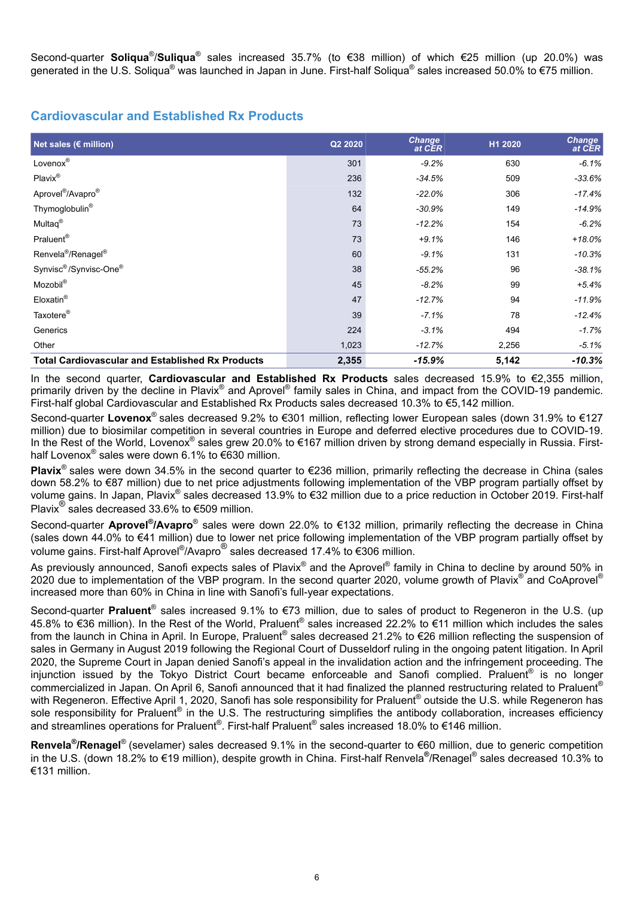Second-quarter **Soliqua<sup>®</sup>/Suliqua<sup>®</sup> sales increased 35.7% (to €38 million) of which €25 million (up 20.0%) was** generated in the U.S. Soliqua<sup>®</sup> was launched in Japan in June. First-half Soliqua<sup>®</sup> sales increased 50.0% to €75 million.

### **Cardiovascular and Established Rx Products**

| Net sales ( $\varepsilon$ million)                      | Q2 2020 | <b>Change</b><br>at CER | H1 2020 | <b>Change</b><br>at CER |
|---------------------------------------------------------|---------|-------------------------|---------|-------------------------|
| Lovenox®                                                | 301     | $-9.2%$                 | 630     | $-6.1%$                 |
| Plavix®                                                 | 236     | $-34.5%$                | 509     | $-33.6\%$               |
| Aprovel <sup>®</sup> /Avapro <sup>®</sup>               | 132     | $-22.0\%$               | 306     | $-17.4%$                |
| Thymoglobulin <sup>®</sup>                              | 64      | $-30.9%$                | 149     | $-14.9%$                |
| Multaq <sup>®</sup>                                     | 73      | $-12.2%$                | 154     | $-6.2%$                 |
| Praluent <sup>®</sup>                                   | 73      | $+9.1%$                 | 146     | $+18.0%$                |
| Renvela <sup>®</sup> /Renagel <sup>®</sup>              | 60      | $-9.1%$                 | 131     | $-10.3%$                |
| Synvisc <sup>®</sup> /Synvisc-One®                      | 38      | $-55.2%$                | 96      | $-38.1%$                |
| Mozobil®                                                | 45      | $-8.2%$                 | 99      | $+5.4%$                 |
| Eloxatin <sup>®</sup>                                   | 47      | $-12.7%$                | 94      | $-11.9%$                |
| Taxotere <sup>®</sup>                                   | 39      | $-7.1%$                 | 78      | $-12.4%$                |
| Generics                                                | 224     | $-3.1%$                 | 494     | $-1.7%$                 |
| Other                                                   | 1,023   | $-12.7%$                | 2,256   | -5.1%                   |
| <b>Total Cardiovascular and Established Rx Products</b> | 2,355   | $-15.9%$                | 5,142   | $-10.3%$                |

In the second quarter, **Cardiovascular and Established Rx Products** sales decreased 15.9% to €2,355 million, primarily driven by the decline in Plavix® and Aprovel® family sales in China, and impact from the COVID-19 pandemic. First-half global Cardiovascular and Established Rx Products sales decreased 10.3% to €5,142 million.

Second-quarter **Lovenox**® sales decreased 9.2% to €301 million, reflecting lower European sales (down 31.9% to €127 million) due to biosimilar competition in several countries in Europe and deferred elective procedures due to COVID-19. In the Rest of the World, Lovenox® sales grew 20.0% to €167 million driven by strong demand especially in Russia. Firsthalf Lovenox<sup>®</sup> sales were down 6.1% to €630 million.

**Plavix**® sales were down 34.5% in the second quarter to €236 million, primarily reflecting the decrease in China (sales down 58.2% to €87 million) due to net price adjustments following implementation of the VBP program partially offset by volume gains. In Japan, Plavix® sales decreased 13.9% to €32 million due to a price reduction in October 2019. First-half Plavix<sup>®</sup> sales decreased 33.6% to €509 million.

Second-quarter Aprovel<sup>®</sup>/Avapro<sup>®</sup> sales were down 22.0% to €132 million, primarily reflecting the decrease in China (sales down 44.0% to €41 million) due to lower net price following implementation of the VBP program partially offset by volume gains. First-half Aprovel® /Avapro® sales decreased 17.4% to €306 million.

As previously announced, Sanofi expects sales of Plavix® and the Aprovel® family in China to decline by around 50% in 2020 due to implementation of the VBP program. In the second quarter 2020, volume growth of Plavix® and CoAprovel® increased more than 60% in China in line with Sanofi's full-year expectations.

Second-quarter Praluent<sup>®</sup> sales increased 9.1% to €73 million, due to sales of product to Regeneron in the U.S. (up 45.8% to €36 million). In the Rest of the World, Praluent® sales increased 22.2% to €11 million which includes the sales from the launch in China in April. In Europe, Praluent® sales decreased 21.2% to €26 million reflecting the suspension of sales in Germany in August 2019 following the Regional Court of Dusseldorf ruling in the ongoing patent litigation. In April 2020, the Supreme Court in Japan denied Sanofi's appeal in the invalidation action and the infringement proceeding. The injunction issued by the Tokyo District Court became enforceable and Sanofi complied. Praluent® is no longer commercialized in Japan. On April 6, Sanofi announced that it had finalized the planned restructuring related to Praluent® with Regeneron. Effective April 1, 2020, Sanofi has sole responsibility for Praluent® outside the U.S. while Regeneron has sole responsibility for Praluent® in the U.S. The restructuring simplifies the antibody collaboration, increases efficiency and streamlines operations for Praluent®. First-half Praluent® sales increased 18.0% to €146 million.

**Renvela<sup>®</sup>/Renagel<sup>®</sup> (sevelamer) sales decreased 9.1% in the second-quarter to €60 million, due to generic competition** in the U.S. (down 18.2% to €19 million), despite growth in China. First-half Renvela**®** /Renagel® sales decreased 10.3% to €131 million.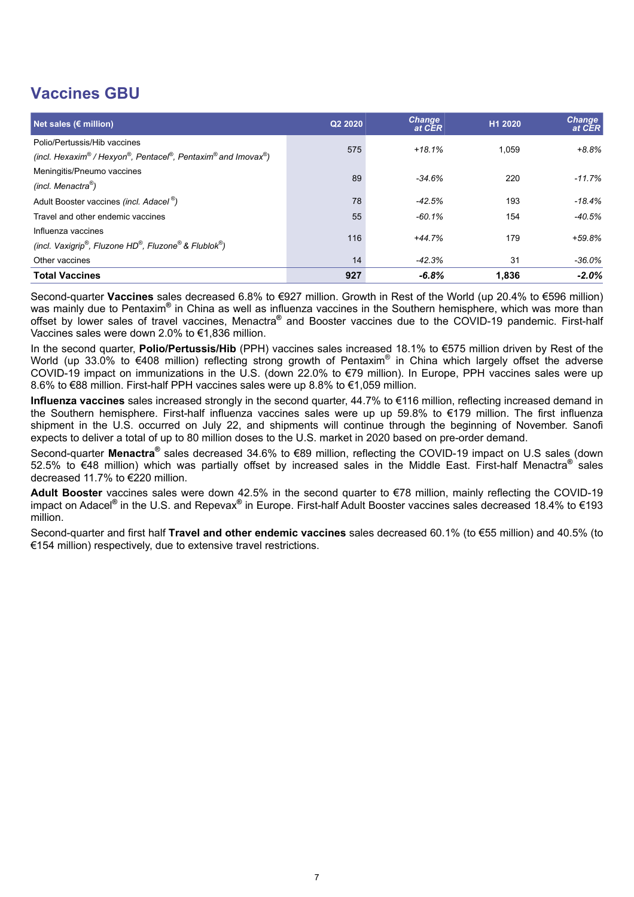# **Vaccines GBU**

| Net sales ( $\epsilon$ million)                                                                                              | Q2 2020 | <b>Change</b><br>at CER | H1 2020 | <b>Change</b><br>at CER |
|------------------------------------------------------------------------------------------------------------------------------|---------|-------------------------|---------|-------------------------|
| Polio/Pertussis/Hib vaccines<br>(incl. Hexaxim® / Hexyon®, Pentacel®, Pentaxim® and Imovax®)                                 | 575     | $+18.1%$                | 1.059   | $+8.8%$                 |
| Meningitis/Pneumo vaccines<br>(incl. Menactra <sup>®</sup> )                                                                 | 89      | $-34.6%$                | 220     | $-11.7%$                |
| Adult Booster vaccines (incl. Adacel <sup>®</sup> )                                                                          | 78      | $-42.5%$                | 193     | $-18.4%$                |
| Travel and other endemic vaccines                                                                                            | 55      | $-60.1%$                | 154     | -40.5%                  |
| Influenza vaccines<br>(incl. Vaxigrip <sup>®</sup> , Fluzone HD <sup>®</sup> , Fluzone <sup>®</sup> & Flublok <sup>®</sup> ) | 116     | $+44.7%$                | 179     | $+59.8%$                |
| Other vaccines                                                                                                               | 14      | $-42.3%$                | 31      | -36.0%                  |
| <b>Total Vaccines</b>                                                                                                        | 927     | $-6.8%$                 | 1.836   | $-2.0\%$                |

Second-quarter **Vaccines** sales decreased 6.8% to €927 million. Growth in Rest of the World (up 20.4% to €596 million) was mainly due to Pentaxim<sup>®</sup> in China as well as influenza vaccines in the Southern hemisphere, which was more than offset by lower sales of travel vaccines, Menactra**®** and Booster vaccines due to the COVID-19 pandemic. First-half Vaccines sales were down 2.0% to €1,836 million.

In the second quarter, **Polio/Pertussis/Hib** (PPH) vaccines sales increased 18.1% to €575 million driven by Rest of the World (up 33.0% to €408 million) reflecting strong growth of Pentaxim® in China which largely offset the adverse COVID-19 impact on immunizations in the U.S. (down 22.0% to €79 million). In Europe, PPH vaccines sales were up 8.6% to €88 million. First-half PPH vaccines sales were up 8.8% to €1,059 million.

**Influenza vaccines** sales increased strongly in the second quarter, 44.7% to €116 million, reflecting increased demand in the Southern hemisphere. First-half influenza vaccines sales were up up 59.8% to €179 million. The first influenza shipment in the U.S. occurred on July 22, and shipments will continue through the beginning of November. Sanofi expects to deliver a total of up to 80 million doses to the U.S. market in 2020 based on pre-order demand.

Second-quarter Menactra<sup>®</sup> sales decreased 34.6% to €89 million, reflecting the COVID-19 impact on U.S sales (down 52.5% to €48 million) which was partially offset by increased sales in the Middle East. First-half Menactra<sup>®</sup> sales decreased 11.7% to €220 million.

**Adult Booster** vaccines sales were down 42.5% in the second quarter to €78 million, mainly reflecting the COVID-19 impact on Adacel<sup>®</sup> in the U.S. and Repevax<sup>®</sup> in Europe. First-half Adult Booster vaccines sales decreased 18.4% to €193 million.

Second-quarter and first half **Travel and other endemic vaccines** sales decreased 60.1% (to €55 million) and 40.5% (to €154 million) respectively, due to extensive travel restrictions.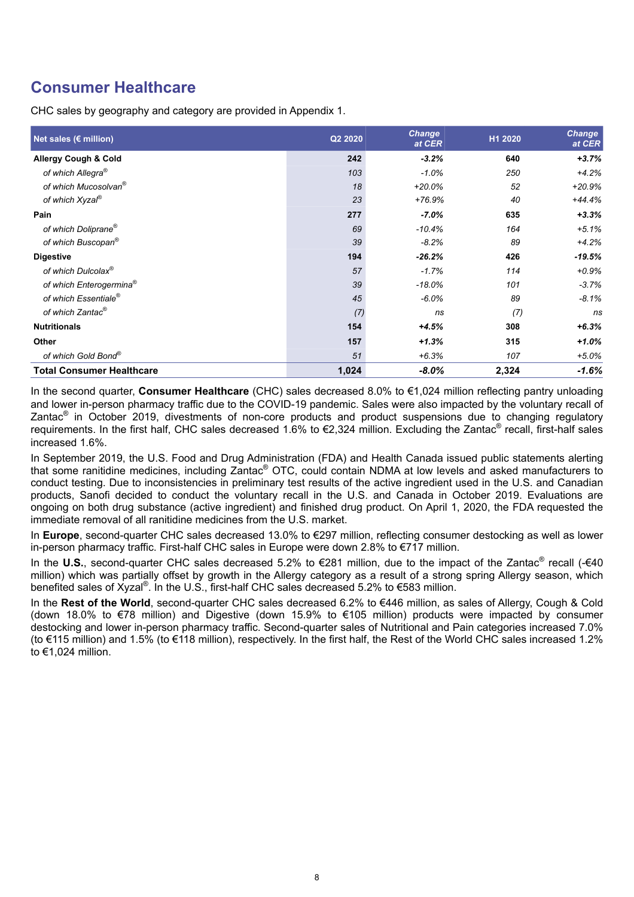# **Consumer Healthcare**

CHC sales by geography and category are provided in Appendix 1.

| Net sales ( $\varepsilon$ million)  | Q2 2020 | <b>Change</b><br>at CER | H1 2020 | <b>Change</b><br>at CER |
|-------------------------------------|---------|-------------------------|---------|-------------------------|
| <b>Allergy Cough &amp; Cold</b>     | 242     | $-3.2%$                 | 640     | $+3.7%$                 |
| of which Allegra <sup>®</sup>       | 103     | $-1.0%$                 | 250     | $+4.2%$                 |
| of which Mucosolvan <sup>®</sup>    | 18      | $+20.0%$                | 52      | $+20.9%$                |
| of which Xyzal <sup>®</sup>         | 23      | $+76.9%$                | 40      | $+44.4%$                |
| Pain                                | 277     | $-7.0%$                 | 635     | $+3.3%$                 |
| of which Doliprane®                 | 69      | $-10.4%$                | 164     | $+5.1%$                 |
| of which Buscopan®                  | 39      | $-8.2%$                 | 89      | $+4.2%$                 |
| <b>Digestive</b>                    | 194     | $-26.2%$                | 426     | $-19.5%$                |
| of which Dulcolax®                  | 57      | $-1.7%$                 | 114     | $+0.9%$                 |
| of which Enterogermina <sup>®</sup> | 39      | $-18.0%$                | 101     | $-3.7%$                 |
| of which Essentiale <sup>®</sup>    | 45      | $-6.0%$                 | 89      | $-8.1%$                 |
| of which Zantac®                    | (7)     | ns                      | (7)     | ns                      |
| <b>Nutritionals</b>                 | 154     | $+4.5%$                 | 308     | $+6.3%$                 |
| Other                               | 157     | $+1.3%$                 | 315     | $+1.0%$                 |
| of which Gold Bond®                 | 51      | $+6.3%$                 | 107     | $+5.0\%$                |
| <b>Total Consumer Healthcare</b>    | 1,024   | $-8.0\%$                | 2,324   | -1.6%                   |

In the second quarter, **Consumer Healthcare** (CHC) sales decreased 8.0% to €1,024 million reflecting pantry unloading and lower in-person pharmacy traffic due to the COVID-19 pandemic. Sales were also impacted by the voluntary recall of Zantac<sup>®</sup> in October 2019, divestments of non-core products and product suspensions due to changing regulatory requirements. In the first half, CHC sales decreased 1.6% to €2,324 million. Excluding the Zantac<sup>®</sup> recall, first-half sales increased 1.6%.

In September 2019, the U.S. Food and Drug Administration (FDA) and Health Canada issued public statements alerting that some ranitidine medicines, including Zantac® OTC, could contain NDMA at low levels and asked manufacturers to conduct testing. Due to inconsistencies in preliminary test results of the active ingredient used in the U.S. and Canadian products, Sanofi decided to conduct the voluntary recall in the U.S. and Canada in October 2019. Evaluations are ongoing on both drug substance (active ingredient) and finished drug product. On April 1, 2020, the FDA requested the immediate removal of all ranitidine medicines from the U.S. market.

In **Europe**, second-quarter CHC sales decreased 13.0% to €297 million, reflecting consumer destocking as well as lower in-person pharmacy traffic. First-half CHC sales in Europe were down 2.8% to €717 million.

In the U.S., second-quarter CHC sales decreased 5.2% to €281 million, due to the impact of the Zantac<sup>®</sup> recall (-€40 million) which was partially offset by growth in the Allergy category as a result of a strong spring Allergy season, which benefited sales of Xyzal®. In the U.S., first-half CHC sales decreased 5.2% to €583 million.

In the **Rest of the World**, second-quarter CHC sales decreased 6.2% to €446 million, as sales of Allergy, Cough & Cold (down 18.0% to €78 million) and Digestive (down 15.9% to €105 million) products were impacted by consumer destocking and lower in-person pharmacy traffic. Second-quarter sales of Nutritional and Pain categories increased 7.0% (to €115 million) and 1.5% (to €118 million), respectively. In the first half, the Rest of the World CHC sales increased 1.2% to €1,024 million.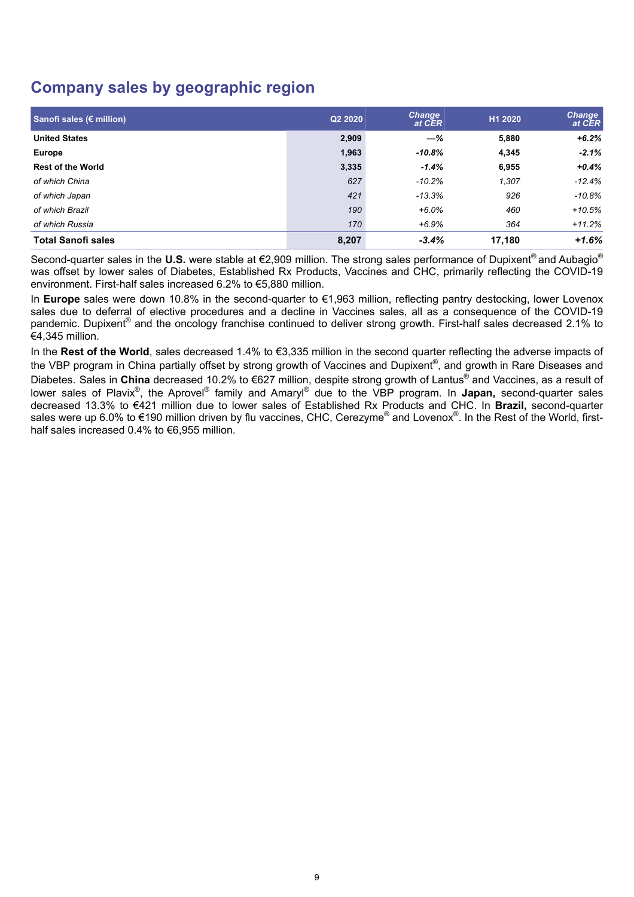# **Company sales by geographic region**

| Sanofi sales (€ million)  | Q2 2020 | <b>Change</b><br>at CER | H1 2020 | <b>Change</b><br>at CER |
|---------------------------|---------|-------------------------|---------|-------------------------|
| <b>United States</b>      | 2,909   | $-\%$                   | 5,880   | $+6.2%$                 |
| <b>Europe</b>             | 1,963   | $-10.8%$                | 4,345   | $-2.1%$                 |
| <b>Rest of the World</b>  | 3,335   | $-1.4%$                 | 6,955   | $+0.4%$                 |
| of which China            | 627     | $-10.2%$                | 1,307   | $-12.4%$                |
| of which Japan            | 421     | $-13.3%$                | 926     | $-10.8%$                |
| of which Brazil           | 190     | $+6.0%$                 | 460     | $+10.5%$                |
| of which Russia           | 170     | $+6.9%$                 | 364     | $+11.2%$                |
| <b>Total Sanofi sales</b> | 8,207   | $-3.4%$                 | 17,180  | $+1.6%$                 |

Second-quarter sales in the **U.S.** were stable at €2,909 million. The strong sales performance of Dupixent® and Aubagio® was offset by lower sales of Diabetes, Established Rx Products, Vaccines and CHC, primarily reflecting the COVID-19 environment. First-half sales increased 6.2% to €5,880 million.

In **Europe** sales were down 10.8% in the second-quarter to €1,963 million, reflecting pantry destocking, lower Lovenox sales due to deferral of elective procedures and a decline in Vaccines sales, all as a consequence of the COVID-19 pandemic. Dupixent® and the oncology franchise continued to deliver strong growth. First-half sales decreased 2.1% to €4,345 million.

In the **Rest of the World**, sales decreased 1.4% to €3,335 million in the second quarter reflecting the adverse impacts of the VBP program in China partially offset by strong growth of Vaccines and Dupixent®, and growth in Rare Diseases and Diabetes. Sales in **China** decreased 10.2% to €627 million, despite strong growth of Lantus® and Vaccines, as a result of lower sales of Plavix®, the Aprovel<sup>®</sup> family and Amaryl<sup>®</sup> due to the VBP program. In **Japan,** second-quarter sales decreased 13.3% to €421 million due to lower sales of Established Rx Products and CHC. In **Brazil,** second-quarter sales were up 6.0% to €190 million driven by flu vaccines, CHC, Cerezyme<sup>®</sup> and Lovenox<sup>®</sup>. In the Rest of the World, firsthalf sales increased 0.4% to €6,955 million.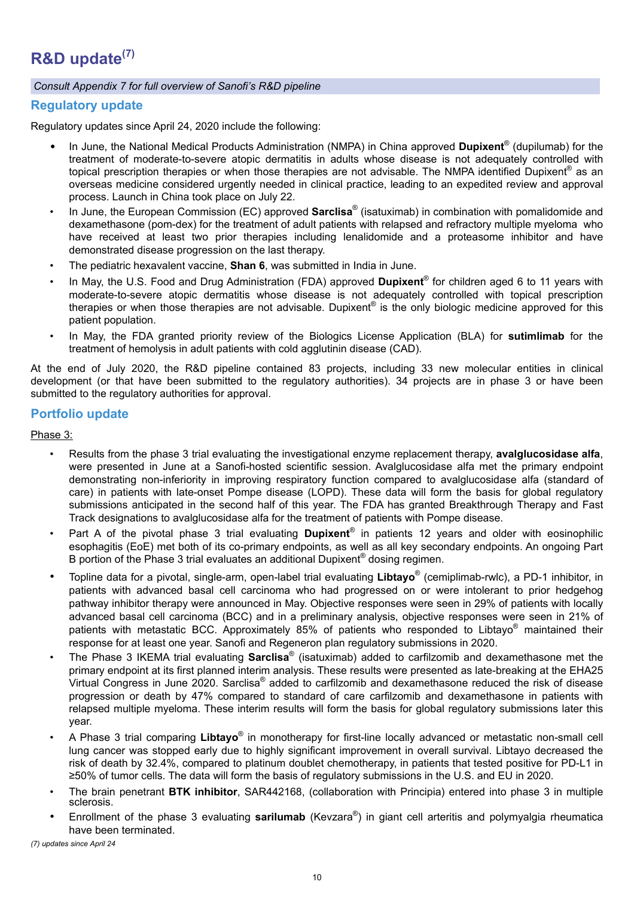### *Consult Appendix 7 for full overview of Sanofi's R&D pipeline*

### **Regulatory update**

Regulatory updates since April 24, 2020 include the following:

- In June, the National Medical Products Administration (NMPA) in China approved **Dupixent**® (dupilumab) for the treatment of moderate-to-severe atopic dermatitis in adults whose disease is not adequately controlled with topical prescription therapies or when those therapies are not advisable. The NMPA identified Dupixent® as an overseas medicine considered urgently needed in clinical practice, leading to an expedited review and approval process. Launch in China took place on July 22.
- In June, the European Commission (EC) approved **Sarclisa**® (isatuximab) in combination with pomalidomide and dexamethasone (pom-dex) for the treatment of adult patients with relapsed and refractory multiple myeloma who have received at least two prior therapies including lenalidomide and a proteasome inhibitor and have demonstrated disease progression on the last therapy.
- The pediatric hexavalent vaccine, **Shan 6**, was submitted in India in June.
- In May, the U.S. Food and Drug Administration (FDA) approved **Dupixent**® for children aged 6 to 11 years with moderate-to-severe atopic dermatitis whose disease is not adequately controlled with topical prescription therapies or when those therapies are not advisable. Dupixent® is the only biologic medicine approved for this patient population.
- In May, the FDA granted priority review of the Biologics License Application (BLA) for **sutimlimab** for the treatment of hemolysis in adult patients with cold agglutinin disease (CAD).

At the end of July 2020, the R&D pipeline contained 83 projects, including 33 new molecular entities in clinical development (or that have been submitted to the regulatory authorities). 34 projects are in phase 3 or have been submitted to the regulatory authorities for approval.

### **Portfolio update**

Phase 3:

- Results from the phase 3 trial evaluating the investigational enzyme replacement therapy, **avalglucosidase alfa**, were presented in June at a Sanofi-hosted scientific session. Avalglucosidase alfa met the primary endpoint demonstrating non-inferiority in improving respiratory function compared to avalglucosidase alfa (standard of care) in patients with late-onset Pompe disease (LOPD). These data will form the basis for global regulatory submissions anticipated in the second half of this year. The FDA has granted Breakthrough Therapy and Fast Track designations to avalglucosidase alfa for the treatment of patients with Pompe disease.
- Part A of the pivotal phase 3 trial evaluating **Dupixent**® in patients 12 years and older with eosinophilic esophagitis (EoE) met both of its co-primary endpoints, as well as all key secondary endpoints. An ongoing Part B portion of the Phase 3 trial evaluates an additional Dupixent® dosing regimen.
- Topline data for a pivotal, single-arm, open-label trial evaluating **Libtayo**® (cemiplimab-rwlc), a PD-1 inhibitor, in patients with advanced basal cell carcinoma who had progressed on or were intolerant to prior hedgehog pathway inhibitor therapy were announced in May. Objective responses were seen in 29% of patients with locally advanced basal cell carcinoma (BCC) and in a preliminary analysis, objective responses were seen in 21% of patients with metastatic BCC. Approximately 85% of patients who responded to Libtayo® maintained their response for at least one year. Sanofi and Regeneron plan regulatory submissions in 2020.
- The Phase 3 IKEMA trial evaluating **Sarclisa**® (isatuximab) added to carfilzomib and dexamethasone met the primary endpoint at its first planned interim analysis. These results were presented as late-breaking at the EHA25 Virtual Congress in June 2020. Sarclisa® added to carfilzomib and dexamethasone reduced the risk of disease progression or death by 47% compared to standard of care carfilzomib and dexamethasone in patients with relapsed multiple myeloma. These interim results will form the basis for global regulatory submissions later this year.
- A Phase 3 trial comparing **Libtayo**® in monotherapy for first-line locally advanced or metastatic non-small cell lung cancer was stopped early due to highly significant improvement in overall survival. Libtayo decreased the risk of death by 32.4%, compared to platinum doublet chemotherapy, in patients that tested positive for PD-L1 in ≥50% of tumor cells. The data will form the basis of regulatory submissions in the U.S. and EU in 2020.
- The brain penetrant **BTK inhibitor**, SAR442168, (collaboration with Principia) entered into phase 3 in multiple sclerosis.
- Enrollment of the phase 3 evaluating **sarilumab** (Kevzara® ) in giant cell arteritis and polymyalgia rheumatica have been terminated.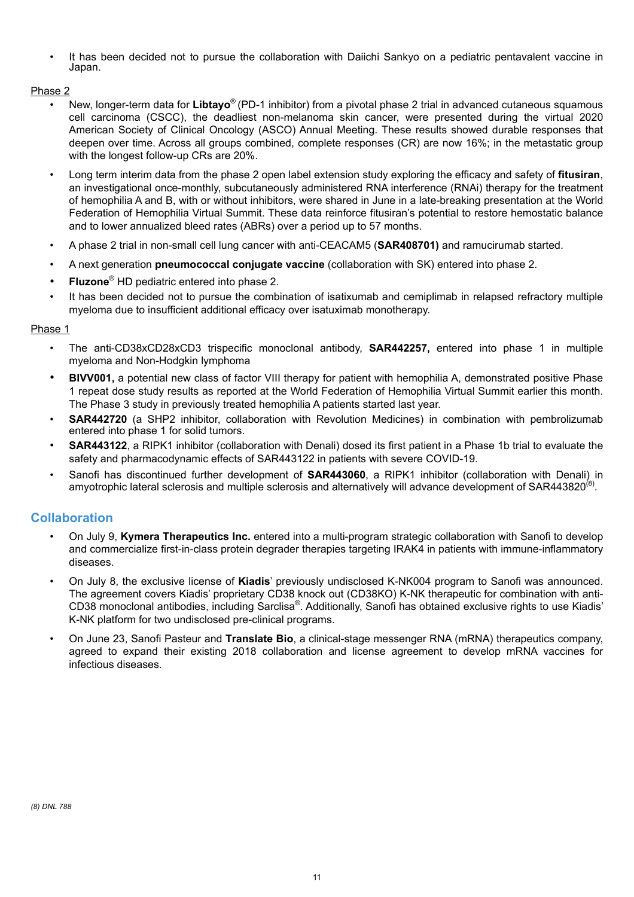• It has been decided not to pursue the collaboration with Daiichi Sankyo on a pediatric pentavalent vaccine in Japan.

### Phase 2

- New, longer-term data for **Libtayo**® (PD-1 inhibitor) from a pivotal phase 2 trial in advanced cutaneous squamous cell carcinoma (CSCC), the deadliest non-melanoma skin cancer, were presented during the virtual 2020 American Society of Clinical Oncology (ASCO) Annual Meeting. These results showed durable responses that deepen over time. Across all groups combined, complete responses (CR) are now 16%; in the metastatic group with the longest follow-up CRs are 20%.
- Long term interim data from the phase 2 open label extension study exploring the efficacy and safety of **fitusiran**, an investigational once-monthly, subcutaneously administered RNA interference (RNAi) therapy for the treatment of hemophilia A and B, with or without inhibitors, were shared in June in a late-breaking presentation at the World Federation of Hemophilia Virtual Summit. These data reinforce fitusiran's potential to restore hemostatic balance and to lower annualized bleed rates (ABRs) over a period up to 57 months.
- A phase 2 trial in non-small cell lung cancer with anti-CEACAM5 (**SAR408701)** and ramucirumab started.
- A next generation **pneumococcal conjugate vaccine** (collaboration with SK) entered into phase 2.
- **Fluzone**® HD pediatric entered into phase 2.
- It has been decided not to pursue the combination of isatixumab and cemiplimab in relapsed refractory multiple myeloma due to insufficient additional efficacy over isatuximab monotherapy.

### Phase 1

- The anti-CD38xCD28xCD3 trispecific monoclonal antibody, **SAR442257,** entered into phase 1 in multiple myeloma and Non-Hodgkin lymphoma
- **BIVV001,** a potential new class of factor VIII therapy for patient with hemophilia A, demonstrated positive Phase 1 repeat dose study results as reported at the World Federation of Hemophilia Virtual Summit earlier this month. The Phase 3 study in previously treated hemophilia A patients started last year.
- **SAR442720** (a SHP2 inhibitor, collaboration with Revolution Medicines) in combination with pembrolizumab entered into phase 1 for solid tumors.
- **SAR443122**, a RIPK1 inhibitor (collaboration with Denali) dosed its first patient in a Phase 1b trial to evaluate the safety and pharmacodynamic effects of SAR443122 in patients with severe COVID-19.
- Sanofi has discontinued further development of **SAR443060**, a RIPK1 inhibitor (collaboration with Denali) in amyotrophic lateral sclerosis and multiple sclerosis and alternatively will advance development of SAR443820<sup>(8)</sup>.

### **Collaboration**

- On July 9, **Kymera Therapeutics Inc.** entered into a multi-program strategic collaboration with Sanofi to develop and commercialize first-in-class protein degrader therapies targeting IRAK4 in patients with immune-inflammatory diseases.
- On July 8, the exclusive license of **Kiadis**' previously undisclosed K-NK004 program to Sanofi was announced. The agreement covers Kiadis' proprietary CD38 knock out (CD38KO) K-NK therapeutic for combination with anti-CD38 monoclonal antibodies, including Sarclisa®. Additionally, Sanofi has obtained exclusive rights to use Kiadis' K-NK platform for two undisclosed pre-clinical programs.
- On June 23, Sanofi Pasteur and **Translate Bio**, a clinical-stage messenger RNA (mRNA) therapeutics company, agreed to expand their existing 2018 collaboration and license agreement to develop mRNA vaccines for infectious diseases.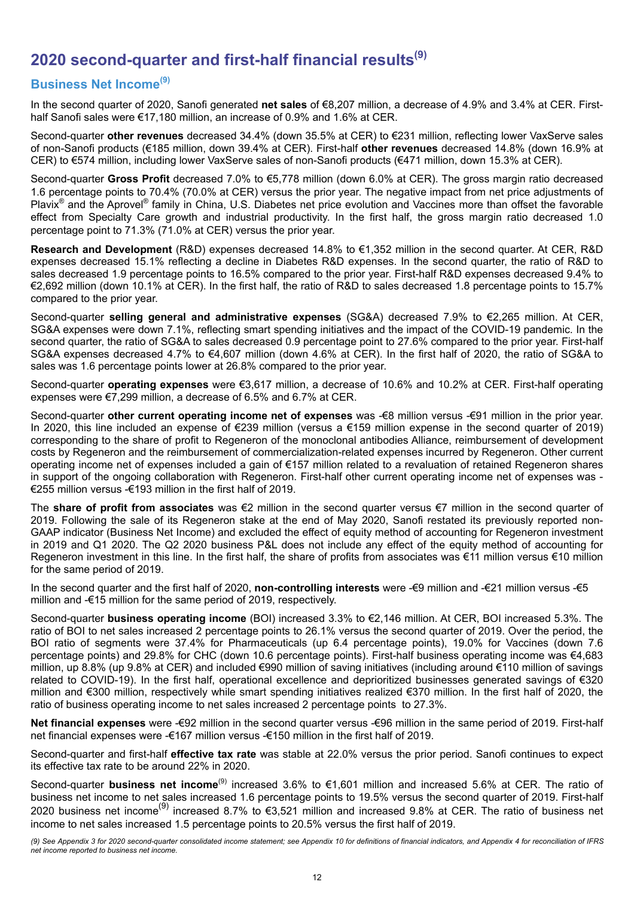# **2020 second-quarter and first-half financial results(9)**

## **Business Net Income(9)**

In the second quarter of 2020, Sanofi generated **net sales** of €8,207 million, a decrease of 4.9% and 3.4% at CER. Firsthalf Sanofi sales were €17,180 million, an increase of 0.9% and 1.6% at CER.

Second-quarter **other revenues** decreased 34.4% (down 35.5% at CER) to €231 million, reflecting lower VaxServe sales of non-Sanofi products (€185 million, down 39.4% at CER). First-half **other revenues** decreased 14.8% (down 16.9% at CER) to €574 million, including lower VaxServe sales of non-Sanofi products (€471 million, down 15.3% at CER).

Second-quarter **Gross Profit** decreased 7.0% to €5,778 million (down 6.0% at CER). The gross margin ratio decreased 1.6 percentage points to 70.4% (70.0% at CER) versus the prior year. The negative impact from net price adjustments of Plavix<sup>®</sup> and the Aprovel<sup>®</sup> family in China, U.S. Diabetes net price evolution and Vaccines more than offset the favorable effect from Specialty Care growth and industrial productivity. In the first half, the gross margin ratio decreased 1.0 percentage point to 71.3% (71.0% at CER) versus the prior year.

**Research and Development** (R&D) expenses decreased 14.8% to €1,352 million in the second quarter. At CER, R&D expenses decreased 15.1% reflecting a decline in Diabetes R&D expenses. In the second quarter, the ratio of R&D to sales decreased 1.9 percentage points to 16.5% compared to the prior year. First-half R&D expenses decreased 9.4% to €2,692 million (down 10.1% at CER). In the first half, the ratio of R&D to sales decreased 1.8 percentage points to 15.7% compared to the prior year.

Second-quarter **selling general and administrative expenses** (SG&A) decreased 7.9% to €2,265 million. At CER, SG&A expenses were down 7.1%, reflecting smart spending initiatives and the impact of the COVID-19 pandemic. In the second quarter, the ratio of SG&A to sales decreased 0.9 percentage point to 27.6% compared to the prior year. First-half SG&A expenses decreased 4.7% to €4,607 million (down 4.6% at CER). In the first half of 2020, the ratio of SG&A to sales was 1.6 percentage points lower at 26.8% compared to the prior year.

Second-quarter **operating expenses** were €3,617 million, a decrease of 10.6% and 10.2% at CER. First-half operating expenses were €7,299 million, a decrease of 6.5% and 6.7% at CER.

Second-quarter **other current operating income net of expenses** was -€8 million versus -€91 million in the prior year. In 2020, this line included an expense of €239 million (versus a €159 million expense in the second quarter of 2019) corresponding to the share of profit to Regeneron of the monoclonal antibodies Alliance, reimbursement of development costs by Regeneron and the reimbursement of commercialization-related expenses incurred by Regeneron. Other current operating income net of expenses included a gain of €157 million related to a revaluation of retained Regeneron shares in support of the ongoing collaboration with Regeneron. First-half other current operating income net of expenses was - €255 million versus -€193 million in the first half of 2019.

The **share of profit from associates** was €2 million in the second quarter versus €7 million in the second quarter of 2019. Following the sale of its Regeneron stake at the end of May 2020, Sanofi restated its previously reported non-GAAP indicator (Business Net Income) and excluded the effect of equity method of accounting for Regeneron investment in 2019 and Q1 2020. The Q2 2020 business P&L does not include any effect of the equity method of accounting for Regeneron investment in this line. In the first half, the share of profits from associates was €11 million versus €10 million for the same period of 2019.

In the second quarter and the first half of 2020, **non-controlling interests** were -€9 million and -€21 million versus -€5 million and -€15 million for the same period of 2019, respectively.

Second-quarter **business operating income** (BOI) increased 3.3% to €2,146 million. At CER, BOI increased 5.3%. The ratio of BOI to net sales increased 2 percentage points to 26.1% versus the second quarter of 2019. Over the period, the BOI ratio of segments were 37.4% for Pharmaceuticals (up 6.4 percentage points), 19.0% for Vaccines (down 7.6 percentage points) and 29.8% for CHC (down 10.6 percentage points). First-half business operating income was €4,683 million, up 8.8% (up 9.8% at CER) and included €990 million of saving initiatives (including around €110 million of savings related to COVID-19). In the first half, operational excellence and deprioritized businesses generated savings of €320 million and €300 million, respectively while smart spending initiatives realized €370 million. In the first half of 2020, the ratio of business operating income to net sales increased 2 percentage points to 27.3%.

**Net financial expenses** were -€92 million in the second quarter versus -€96 million in the same period of 2019. First-half net financial expenses were -€167 million versus -€150 million in the first half of 2019.

Second-quarter and first-half **effective tax rate** was stable at 22.0% versus the prior period. Sanofi continues to expect its effective tax rate to be around 22% in 2020.

Second-quarter **business net income**(9) increased 3.6% to €1,601 million and increased 5.6% at CER. The ratio of business net income to net sales increased 1.6 percentage points to 19.5% versus the second quarter of 2019. First-half 2020 business net income(9) increased 8.7% to €3,521 million and increased 9.8% at CER. The ratio of business net income to net sales increased 1.5 percentage points to 20.5% versus the first half of 2019.

*(9) See Appendix 3 for 2020 second-quarter consolidated income statement; see Appendix 10 for definitions of financial indicators, and Appendix 4 for reconciliation of IFRS net income reported to business net income.*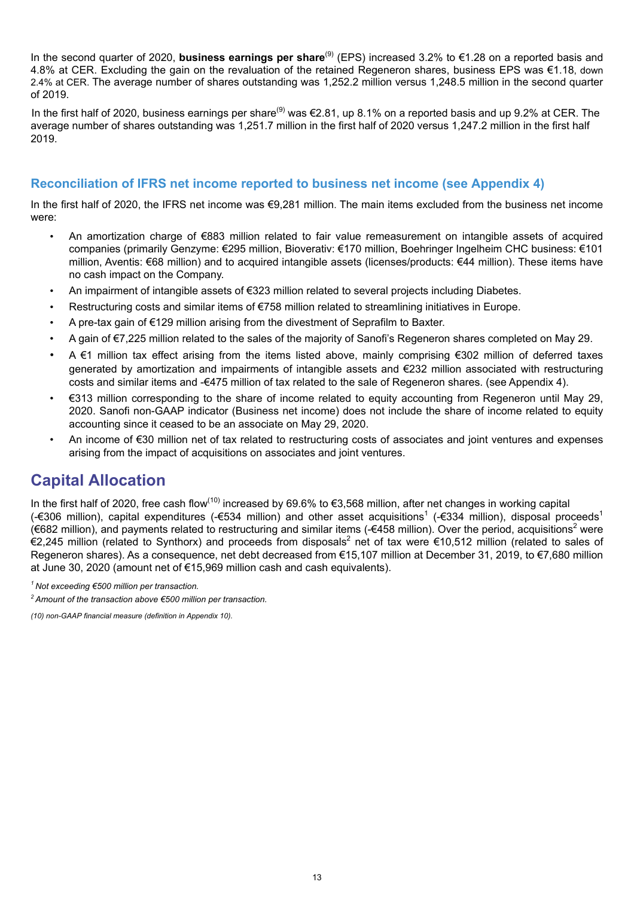In the second quarter of 2020, **business earnings per share**(9) (EPS) increased 3.2% to €1.28 on a reported basis and 4.8% at CER. Excluding the gain on the revaluation of the retained Regeneron shares, business EPS was €1.18, down 2.4% at CER. The average number of shares outstanding was 1,252.2 million versus 1,248.5 million in the second quarter of 2019.

In the first half of 2020, business earnings per share<sup>(9)</sup> was €2.81, up 8.1% on a reported basis and up 9.2% at CER. The average number of shares outstanding was 1,251.7 million in the first half of 2020 versus 1,247.2 million in the first half 2019.

### **Reconciliation of IFRS net income reported to business net income (see Appendix 4)**

In the first half of 2020, the IFRS net income was €9,281 million. The main items excluded from the business net income were:

- An amortization charge of €883 million related to fair value remeasurement on intangible assets of acquired companies (primarily Genzyme: €295 million, Bioverativ: €170 million, Boehringer Ingelheim CHC business: €101 million, Aventis: €68 million) and to acquired intangible assets (licenses/products: €44 million). These items have no cash impact on the Company.
- An impairment of intangible assets of €323 million related to several projects including Diabetes.
- Restructuring costs and similar items of €758 million related to streamlining initiatives in Europe.
- A pre-tax gain of €129 million arising from the divestment of Seprafilm to Baxter.
- A gain of €7,225 million related to the sales of the majority of Sanofi's Regeneron shares completed on May 29.
- A €1 million tax effect arising from the items listed above, mainly comprising €302 million of deferred taxes generated by amortization and impairments of intangible assets and €232 million associated with restructuring costs and similar items and -€475 million of tax related to the sale of Regeneron shares. (see Appendix 4).
- €313 million corresponding to the share of income related to equity accounting from Regeneron until May 29, 2020. Sanofi non-GAAP indicator (Business net income) does not include the share of income related to equity accounting since it ceased to be an associate on May 29, 2020.
- An income of €30 million net of tax related to restructuring costs of associates and joint ventures and expenses arising from the impact of acquisitions on associates and joint ventures.

# **Capital Allocation**

In the first half of 2020, free cash flow<sup>(10)</sup> increased by 69.6% to €3,568 million, after net changes in working capital (-€306 million), capital expenditures (-€534 million) and other asset acquisitions<sup>1</sup> (-€334 million), disposal proceeds<sup>1</sup> (€682 million), and payments related to restructuring and similar items (-€458 million). Over the period, acquisitions<sup>2</sup> were €2,245 million (related to Synthorx) and proceeds from disposals<sup>2</sup> net of tax were €10,512 million (related to sales of Regeneron shares). As a consequence, net debt decreased from €15,107 million at December 31, 2019, to €7,680 million at June 30, 2020 (amount net of €15,969 million cash and cash equivalents).

*<sup>1</sup>Not exceeding €500 million per transaction.*

*<sup>2</sup>Amount of the transaction above €500 million per transaction.* 

*(10) non-GAAP financial measure (definition in Appendix 10).*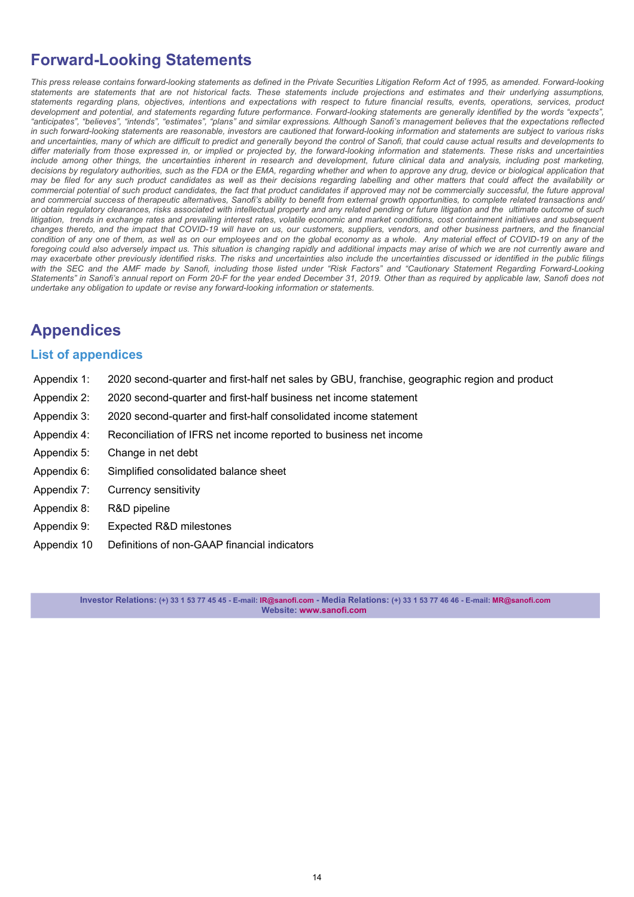# **Forward-Looking Statements**

This press release contains forward-looking statements as defined in the Private Securities Litigation Reform Act of 1995, as amended. Forward-looking *statements are statements that are not historical facts. These statements include projections and estimates and their underlying assumptions, statements regarding plans, objectives, intentions and expectations with respect to future financial results, events, operations, services, product development and potential, and statements regarding future performance. Forward-looking statements are generally identified by the words "expects", "anticipates", "believes", "intends", "estimates", "plans" and similar expressions. Although Sanofi's management believes that the expectations reflected in such forward-looking statements are reasonable, investors are cautioned that forward-looking information and statements are subject to various risks and uncertainties, many of which are difficult to predict and generally beyond the control of Sanofi, that could cause actual results and developments to differ materially from those expressed in, or implied or projected by, the forward-looking information and statements. These risks and uncertainties include among other things, the uncertainties inherent in research and development, future clinical data and analysis, including post marketing,*  decisions by regulatory authorities, such as the FDA or the EMA, regarding whether and when to approve any drug, device or biological application that *may be filed for any such product candidates as well as their decisions regarding labelling and other matters that could affect the availability or*  commercial potential of such product candidates, the fact that product candidates if approved may not be commercially successful, the future approval *and commercial success of therapeutic alternatives, Sanofi's ability to benefit from external growth opportunities, to complete related transactions and/ or obtain regulatory clearances, risks associated with intellectual property and any related pending or future litigation and the ultimate outcome of such*  litigation, trends in exchange rates and prevailing interest rates, volatile economic and market conditions, cost containment initiatives and subsequent *changes thereto, and the impact that COVID-19 will have on us, our customers, suppliers, vendors, and other business partners, and the financial*  condition of any one of them, as well as on our employees and on the global economy as a whole. Any material effect of COVID-19 on any of the foregoing could also adversely impact us. This situation is changing rapidly and additional impacts may arise of which we are not currently aware and *may exacerbate other previously identified risks. The risks and uncertainties also include the uncertainties discussed or identified in the public filings with the SEC and the AMF made by Sanofi, including those listed under "Risk Factors" and "Cautionary Statement Regarding Forward-Looking Statements" in Sanofi's annual report on Form 20-F for the year ended December 31, 2019. Other than as required by applicable law, Sanofi does not undertake any obligation to update or revise any forward-looking information or statements.*

# **Appendices**

### **List of appendices**

- [Appendix 1:](#page-14-0) [2020 second-quarter and first-half net sales by GBU, franchise, geographic region and product](#page-14-0)
- [Appendix 2:](#page-16-0) [2020 second-quarter](#page-16-0) [and first-half](#page-14-0) [business net income statement](#page-16-0)
- [Appendix 3:](#page-18-0) [2020 second-quarter](#page-18-0) [and first-half](#page-14-0) [consolidated income statement](#page-18-0)
- [Appendix 4:](#page-19-0) [Reconciliation of IFRS net income reported to business net income](#page-19-0)
- [Appendix 5:](#page-21-0) [Change in net debt](#page-21-0)
- Appendix 6: Simplified consolidated balance sheet
- Appendix 7: Currency sensitivity
- Appendix 8: R&D pipeline
- [Appendix 9:](#page-28-0) [Expected R&D milestones](#page-28-0)
- [Appendix 10](#page-29-0) [Definitions of non-GAAP financial indicators](#page-29-0)

**Investor Relations: (+) 33 1 53 77 45 45 - E-mail: IR@sanofi.com - Media Relations: (+) 33 1 53 77 46 46 - E-mail: MR@sanofi.com Website: www.sanofi.com**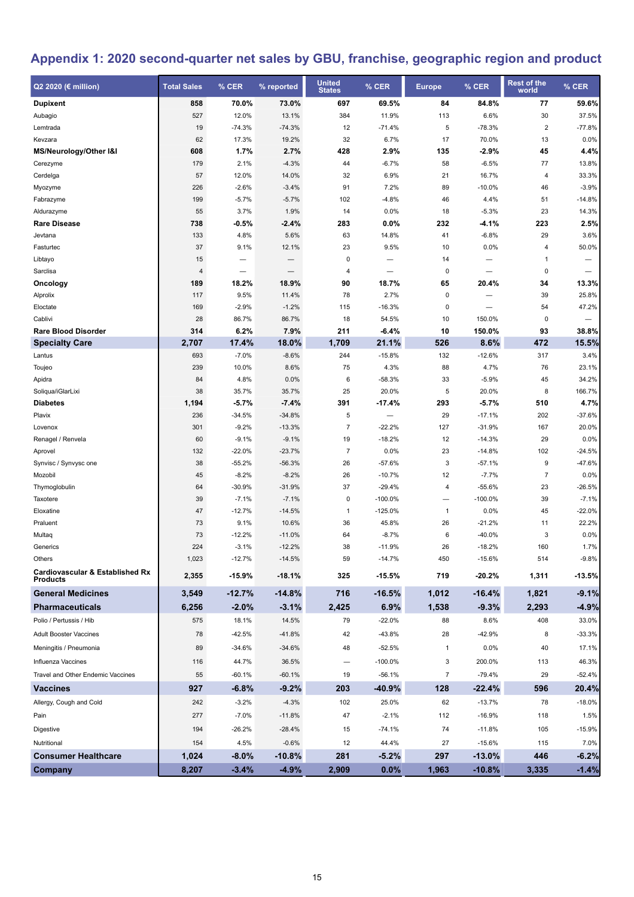# <span id="page-14-0"></span>**Appendix 1: 2020 second-quarter net sales by GBU, franchise, geographic region and product**

| Q2 2020 (€ million)                                           | <b>Total Sales</b> | % CER    | % reported               | <b>United</b><br><b>States</b> | % CER                    | <b>Europe</b>  | % CER     | <b>Rest of the</b><br>world | % CER    |
|---------------------------------------------------------------|--------------------|----------|--------------------------|--------------------------------|--------------------------|----------------|-----------|-----------------------------|----------|
| <b>Dupixent</b>                                               | 858                | 70.0%    | 73.0%                    | 697                            | 69.5%                    | 84             | 84.8%     | 77                          | 59.6%    |
| Aubagio                                                       | 527                | 12.0%    | 13.1%                    | 384                            | 11.9%                    | 113            | 6.6%      | 30                          | 37.5%    |
| Lemtrada                                                      | 19                 | $-74.3%$ | $-74.3%$                 | 12                             | $-71.4%$                 | 5              | $-78.3%$  | $\overline{2}$              | $-77.8%$ |
| Kevzara                                                       | 62                 | 17.3%    | 19.2%                    | 32                             | 6.7%                     | 17             | 70.0%     | 13                          | 0.0%     |
| MS/Neurology/Other I&I                                        | 608                | 1.7%     | 2.7%                     | 428                            | 2.9%                     | 135            | $-2.9%$   | 45                          | 4.4%     |
| Cerezyme                                                      | 179                | 2.1%     | $-4.3%$                  | 44                             | $-6.7%$                  | 58             | $-6.5%$   | 77                          | 13.8%    |
| Cerdelga                                                      | 57                 | 12.0%    | 14.0%                    | 32                             | 6.9%                     | 21             | 16.7%     | 4                           | 33.3%    |
| Myozyme                                                       | 226                | $-2.6%$  | $-3.4%$                  | 91                             | 7.2%                     | 89             | $-10.0%$  | 46                          | $-3.9%$  |
| Fabrazyme                                                     | 199                | $-5.7%$  | $-5.7%$                  | 102                            | $-4.8%$                  | 46             | 4.4%      | 51                          | $-14.8%$ |
| Aldurazyme                                                    | 55                 | 3.7%     | 1.9%                     | 14                             | 0.0%                     | 18             | $-5.3%$   | 23                          | 14.3%    |
| <b>Rare Disease</b>                                           | 738                | -0.5%    | $-2.4%$                  | 283                            | 0.0%                     | 232            | $-4.1%$   | 223                         | 2.5%     |
| Jevtana                                                       | 133                | 4.8%     | 5.6%                     | 63                             | 14.8%                    | 41             | $-6.8%$   | 29                          | 3.6%     |
| Fasturtec                                                     | 37                 | 9.1%     | 12.1%                    | 23                             | 9.5%                     | 10             | 0.0%      | 4                           | 50.0%    |
| Libtayo                                                       | 15                 |          |                          | 0                              | —                        | 14             |           | $\mathbf{1}$                | -        |
| Sarclisa                                                      | 4                  |          | $\overline{\phantom{0}}$ | 4                              | $\overline{\phantom{0}}$ | 0              |           | 0                           |          |
| Oncology                                                      | 189                | 18.2%    | 18.9%                    | 90                             | 18.7%                    | 65             | 20.4%     | 34                          | 13.3%    |
| Alprolix                                                      | 117                | 9.5%     | 11.4%                    | 78                             | 2.7%                     | 0              |           | 39                          | 25.8%    |
| Eloctate                                                      | 169                | $-2.9%$  | $-1.2%$                  | 115                            | $-16.3%$                 | 0              |           | 54                          | 47.2%    |
| Cablivi                                                       | 28                 | 86.7%    | 86.7%                    | 18                             | 54.5%                    | 10             | 150.0%    | 0                           |          |
| <b>Rare Blood Disorder</b>                                    | 314                | 6.2%     | 7.9%                     | 211                            | $-6.4%$                  | 10             | 150.0%    | 93                          | 38.8%    |
| <b>Specialty Care</b>                                         | 2,707              | 17.4%    | 18.0%                    | 1,709                          | 21.1%                    | 526            | 8.6%      | 472                         | 15.5%    |
| Lantus                                                        | 693                | $-7.0%$  | $-8.6%$                  | 244                            | $-15.8%$                 | 132            | $-12.6%$  | 317                         | 3.4%     |
| Toujeo                                                        | 239                | 10.0%    | 8.6%                     | 75                             | 4.3%                     | 88             | 4.7%      | 76                          | 23.1%    |
| Apidra                                                        | 84                 | 4.8%     | 0.0%                     | 6                              | $-58.3%$                 | 33             | $-5.9%$   | 45                          | 34.2%    |
| Soliqua/iGlarLixi                                             | 38                 | 35.7%    | 35.7%                    | 25                             | 20.0%                    | 5              | 20.0%     | 8                           | 166.7%   |
| <b>Diabetes</b>                                               | 1,194              | $-5.7%$  | $-7.4%$                  | 391                            | $-17.4%$                 | 293            | $-5.7%$   | 510                         | 4.7%     |
| Plavix                                                        | 236                | $-34.5%$ | $-34.8%$                 | 5                              | $\qquad \qquad -$        | 29             | $-17.1%$  | 202                         | $-37.6%$ |
| Lovenox                                                       | 301                | $-9.2%$  | $-13.3%$                 | $\overline{7}$                 | $-22.2%$                 | 127            | $-31.9%$  | 167                         | 20.0%    |
| Renagel / Renvela                                             | 60                 | $-9.1%$  | $-9.1%$                  | 19                             | $-18.2%$                 | 12             | $-14.3%$  | 29                          | 0.0%     |
| Aprovel                                                       | 132                | $-22.0%$ | $-23.7%$                 | $\overline{7}$                 | 0.0%                     | 23             | $-14.8%$  | 102                         | $-24.5%$ |
| Synvisc / Synvysc one                                         | 38                 | $-55.2%$ | $-56.3%$                 | 26                             | $-57.6%$                 | 3              | $-57.1%$  | 9                           | $-47.6%$ |
| Mozobil                                                       | 45                 | $-8.2%$  | $-8.2%$                  | 26                             | $-10.7%$                 | 12             | $-7.7%$   | $\overline{7}$              | 0.0%     |
| Thymoglobulin                                                 | 64                 | $-30.9%$ | $-31.9%$                 | 37                             | $-29.4%$                 | 4              | $-55.6%$  | 23                          | $-26.5%$ |
| Taxotere                                                      | 39                 | $-7.1%$  | $-7.1%$                  | 0                              | $-100.0%$                | -              | $-100.0%$ | 39                          | $-7.1%$  |
| Eloxatine                                                     | 47                 | $-12.7%$ | $-14.5%$                 | $\mathbf{1}$                   | $-125.0%$                | $\mathbf{1}$   | 0.0%      | 45                          | $-22.0%$ |
| Praluent                                                      | 73                 | 9.1%     | 10.6%                    | 36                             | 45.8%                    | 26             | $-21.2%$  | 11                          | 22.2%    |
| Multaq                                                        | 73                 | $-12.2%$ | $-11.0%$                 | 64                             | $-8.7%$                  | 6              | $-40.0%$  | 3                           | 0.0%     |
| Generics                                                      | 224                | $-3.1%$  | $-12.2%$                 | 38                             | $-11.9%$                 | 26             | $-18.2%$  | 160                         | 1.7%     |
| Others                                                        | 1,023              | $-12.7%$ | $-14.5%$                 | 59                             | $-14.7%$                 | 450            | $-15.6%$  | 514                         | $-9.8%$  |
| <b>Cardiovascular &amp; Established Rx</b><br><b>Products</b> | 2,355              | $-15.9%$ | $-18.1%$                 | 325                            | $-15.5%$                 | 719            | $-20.2%$  | 1,311                       | $-13.5%$ |
| <b>General Medicines</b>                                      | 3,549              | $-12.7%$ | $-14.8%$                 | 716                            | $-16.5%$                 | 1,012          | $-16.4%$  | 1,821                       | $-9.1%$  |
| <b>Pharmaceuticals</b>                                        | 6,256              | $-2.0%$  | $-3.1%$                  | 2,425                          | 6.9%                     | 1,538          | $-9.3%$   | 2,293                       | $-4.9%$  |
| Polio / Pertussis / Hib                                       | 575                | 18.1%    | 14.5%                    | 79                             | $-22.0%$                 | 88             | 8.6%      | 408                         | 33.0%    |
| <b>Adult Booster Vaccines</b>                                 | 78                 | $-42.5%$ | $-41.8%$                 | 42                             | $-43.8%$                 | 28             | $-42.9%$  | 8                           | $-33.3%$ |
| Meningitis / Pneumonia                                        | 89                 | $-34.6%$ | $-34.6%$                 | 48                             | $-52.5%$                 | $\mathbf{1}$   | 0.0%      | 40                          | 17.1%    |
| Influenza Vaccines                                            | 116                | 44.7%    | 36.5%                    | $\overline{\phantom{0}}$       | $-100.0%$                | 3              | 200.0%    | 113                         | 46.3%    |
| Travel and Other Endemic Vaccines                             | 55                 | $-60.1%$ | $-60.1%$                 | 19                             | $-56.1%$                 | $\overline{7}$ | $-79.4%$  | 29                          | $-52.4%$ |
| <b>Vaccines</b>                                               | 927                | $-6.8%$  | $-9.2%$                  | 203                            | $-40.9%$                 | 128            | $-22.4%$  | 596                         | 20.4%    |
| Allergy, Cough and Cold                                       | 242                | $-3.2%$  | $-4.3%$                  | 102                            | 25.0%                    | 62             | $-13.7%$  | 78                          | $-18.0%$ |
| Pain                                                          | 277                | $-7.0%$  | $-11.8%$                 | 47                             | $-2.1%$                  | 112            | $-16.9%$  | 118                         | 1.5%     |
| Digestive                                                     | 194                | $-26.2%$ | $-28.4%$                 | 15                             | $-74.1%$                 | 74             | $-11.8%$  | 105                         | $-15.9%$ |
| Nutritional                                                   | 154                | 4.5%     | $-0.6%$                  | 12                             | 44.4%                    | 27             | $-15.6%$  | 115                         | 7.0%     |
| <b>Consumer Healthcare</b>                                    | 1,024              | $-8.0\%$ | $-10.8%$                 | 281                            | $-5.2%$                  | 297            | $-13.0%$  | 446                         | $-6.2%$  |
| Company                                                       | 8,207              | $-3.4%$  | $-4.9%$                  | 2,909                          | 0.0%                     | 1,963          | $-10.8%$  | 3,335                       | $-1.4%$  |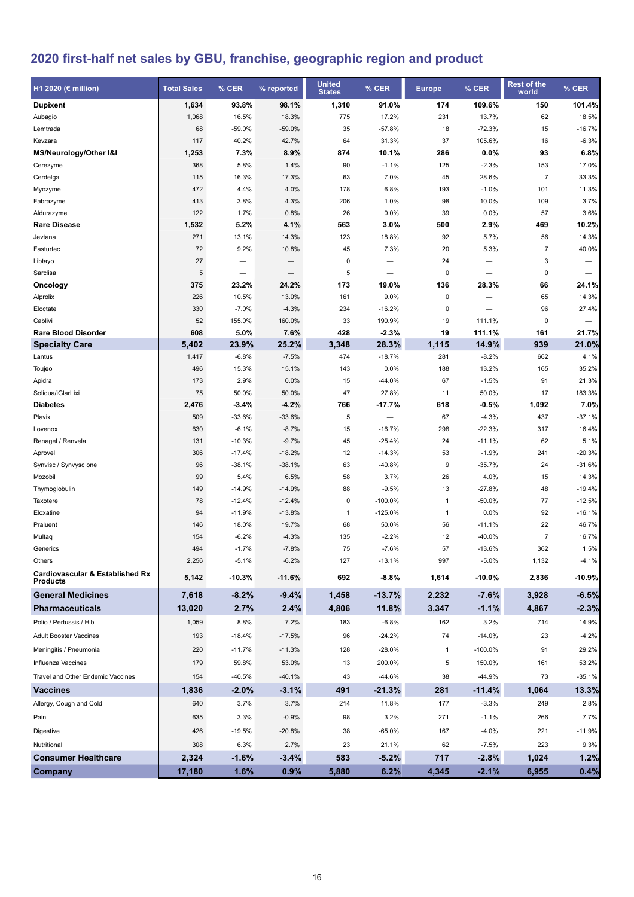# **2020 first-half net sales by GBU, franchise, geographic region and product**

| H1 2020 (€ million)                                           | <b>Total Sales</b> | $%$ CER  | % reported | <b>United</b><br><b>States</b> | % CER                    | <b>Europe</b> | % CER     | <b>Rest of the</b><br>world | % CER    |
|---------------------------------------------------------------|--------------------|----------|------------|--------------------------------|--------------------------|---------------|-----------|-----------------------------|----------|
| <b>Dupixent</b>                                               | 1,634              | 93.8%    | 98.1%      | 1,310                          | 91.0%                    | 174           | 109.6%    | 150                         | 101.4%   |
| Aubagio                                                       | 1,068              | 16.5%    | 18.3%      | 775                            | 17.2%                    | 231           | 13.7%     | 62                          | 18.5%    |
| Lemtrada                                                      | 68                 | $-59.0%$ | $-59.0%$   | 35                             | $-57.8%$                 | 18            | $-72.3%$  | 15                          | $-16.7%$ |
| Kevzara                                                       | 117                | 40.2%    | 42.7%      | 64                             | 31.3%                    | 37            | 105.6%    | 16                          | $-6.3%$  |
| MS/Neurology/Other I&I                                        | 1,253              | 7.3%     | 8.9%       | 874                            | 10.1%                    | 286           | 0.0%      | 93                          | 6.8%     |
| Cerezyme                                                      | 368                | 5.8%     | 1.4%       | 90                             | $-1.1%$                  | 125           | $-2.3%$   | 153                         | 17.0%    |
| Cerdelga                                                      | 115                | 16.3%    | 17.3%      | 63                             | 7.0%                     | 45            | 28.6%     | $\overline{7}$              | 33.3%    |
| Myozyme                                                       | 472                | 4.4%     | 4.0%       | 178                            | 6.8%                     | 193           | $-1.0%$   | 101                         | 11.3%    |
| Fabrazyme                                                     | 413                | 3.8%     | 4.3%       | 206                            | 1.0%                     | 98            | 10.0%     | 109                         | 3.7%     |
| Aldurazyme                                                    | 122                | 1.7%     | 0.8%       | 26                             | 0.0%                     | 39            | 0.0%      | 57                          | 3.6%     |
| <b>Rare Disease</b>                                           | 1,532              | 5.2%     | 4.1%       | 563                            | 3.0%                     | 500           | 2.9%      | 469                         | 10.2%    |
| Jevtana                                                       | 271                | 13.1%    | 14.3%      | 123                            | 18.8%                    | 92            | 5.7%      | 56                          | 14.3%    |
| Fasturtec                                                     | 72                 | 9.2%     | 10.8%      | 45                             | 7.3%                     | 20            | 5.3%      | $\overline{7}$              | 40.0%    |
| Libtayo                                                       | 27                 |          |            | 0                              |                          | 24            |           | 3                           | -        |
| Sarclisa                                                      | 5                  |          |            | 5                              |                          | 0             |           | $\mathbf 0$                 |          |
| Oncology                                                      | 375                | 23.2%    | 24.2%      | 173                            | 19.0%                    | 136           | 28.3%     | 66                          | 24.1%    |
| Alprolix                                                      | 226                | 10.5%    | 13.0%      | 161                            | 9.0%                     | 0             |           | 65                          | 14.3%    |
| Eloctate                                                      | 330                | $-7.0%$  | $-4.3%$    | 234                            | $-16.2%$                 | 0             |           | 96                          | 27.4%    |
| Cablivi                                                       | 52                 | 155.0%   | 160.0%     | 33                             | 190.9%                   | 19            | 111.1%    | 0                           |          |
| <b>Rare Blood Disorder</b>                                    | 608                | 5.0%     | 7.6%       | 428                            | $-2.3%$                  | 19            | 111.1%    | 161                         | 21.7%    |
| <b>Specialty Care</b>                                         | 5,402              | 23.9%    | 25.2%      | 3,348                          | 28.3%                    | 1,115         | 14.9%     | 939                         | 21.0%    |
| Lantus                                                        | 1,417              | $-6.8%$  | $-7.5%$    | 474                            | $-18.7%$                 | 281           | $-8.2%$   | 662                         | 4.1%     |
| Toujeo                                                        | 496                | 15.3%    | 15.1%      | 143                            | 0.0%                     | 188           | 13.2%     | 165                         | 35.2%    |
| Apidra                                                        | 173                | 2.9%     | 0.0%       | 15                             | $-44.0%$                 | 67            | $-1.5%$   | 91                          | 21.3%    |
| Soliqua/iGlarLixi                                             | 75                 | 50.0%    | 50.0%      | 47                             | 27.8%                    | 11            | 50.0%     | 17                          | 183.3%   |
| <b>Diabetes</b>                                               | 2,476              | $-3.4%$  | $-4.2%$    | 766                            | $-17.7%$                 | 618           | $-0.5%$   | 1,092                       | 7.0%     |
| Plavix                                                        | 509                | $-33.6%$ | $-33.6%$   | 5                              | $\overline{\phantom{0}}$ | 67            | $-4.3%$   | 437                         | $-37.1%$ |
| Lovenox                                                       | 630                | $-6.1%$  | $-8.7%$    | 15                             | $-16.7%$                 | 298           | $-22.3%$  | 317                         | 16.4%    |
| Renagel / Renvela                                             | 131                | $-10.3%$ | $-9.7%$    | 45                             | $-25.4%$                 | 24            | $-11.1%$  | 62                          | 5.1%     |
| Aprovel                                                       | 306                | $-17.4%$ | $-18.2%$   | 12                             | $-14.3%$                 | 53            | $-1.9%$   | 241                         | $-20.3%$ |
| Synvisc / Synvysc one                                         | 96                 | $-38.1%$ | $-38.1%$   | 63                             | -40.8%                   | 9             | $-35.7%$  | 24                          | $-31.6%$ |
| Mozobil                                                       | 99                 | 5.4%     | 6.5%       | 58                             | 3.7%                     | 26            | 4.0%      | 15                          | 14.3%    |
| Thymoglobulin                                                 | 149                | $-14.9%$ | $-14.9%$   | 88                             | $-9.5%$                  | 13            | $-27.8%$  | 48                          | $-19.4%$ |
| Taxotere                                                      | 78                 | $-12.4%$ | $-12.4%$   | 0                              | $-100.0%$                | $\mathbf{1}$  | $-50.0%$  | 77                          | $-12.5%$ |
| Eloxatine                                                     | 94                 | $-11.9%$ | $-13.8%$   | $\mathbf{1}$                   | $-125.0%$                | $\mathbf{1}$  | 0.0%      | 92                          | $-16.1%$ |
| Praluent                                                      | 146                | 18.0%    | 19.7%      | 68                             | 50.0%                    | 56            | $-11.1%$  | 22                          | 46.7%    |
| Multaq                                                        | 154                | $-6.2%$  | $-4.3%$    | 135                            | $-2.2%$                  | 12            | $-40.0%$  | $\overline{7}$              | 16.7%    |
| Generics                                                      | 494                | $-1.7%$  | $-7.8%$    | 75                             | $-7.6%$                  | 57            | $-13.6%$  | 362                         | 1.5%     |
| Others                                                        | 2,256              | $-5.1%$  | $-6.2%$    | 127                            | $-13.1%$                 | 997           | $-5.0%$   | 1,132                       | -4.1%    |
| <b>Cardiovascular &amp; Established Rx</b><br><b>Products</b> | 5,142              | $-10.3%$ | -11.6%     | 692                            | $-8.8%$                  | 1,614         | $-10.0%$  | 2,836                       | $-10.9%$ |
| <b>General Medicines</b>                                      | 7,618              | $-8.2%$  | $-9.4%$    | 1,458                          | $-13.7%$                 | 2,232         | $-7.6%$   | 3,928                       | $-6.5%$  |
| <b>Pharmaceuticals</b>                                        | 13,020             | 2.7%     | 2.4%       | 4,806                          | 11.8%                    | 3,347         | $-1.1%$   | 4,867                       | $-2.3%$  |
| Polio / Pertussis / Hib                                       | 1,059              | 8.8%     | 7.2%       | 183                            | $-6.8%$                  | 162           | 3.2%      | 714                         | 14.9%    |
| <b>Adult Booster Vaccines</b>                                 | 193                | $-18.4%$ | $-17.5%$   | 96                             | $-24.2%$                 | 74            | $-14.0%$  | 23                          | $-4.2%$  |
| Meningitis / Pneumonia                                        | 220                | $-11.7%$ | $-11.3%$   | 128                            | $-28.0%$                 | $\mathbf{1}$  | $-100.0%$ | 91                          | 29.2%    |
| Influenza Vaccines                                            | 179                | 59.8%    | 53.0%      | 13                             | 200.0%                   | 5             | 150.0%    | 161                         | 53.2%    |
|                                                               |                    |          |            |                                |                          |               |           |                             |          |
| Travel and Other Endemic Vaccines                             | 154                | $-40.5%$ | $-40.1%$   | 43                             | $-44.6%$                 | 38            | $-44.9%$  | 73                          | $-35.1%$ |
| <b>Vaccines</b>                                               | 1,836              | $-2.0%$  | $-3.1%$    | 491                            | $-21.3%$                 | 281           | $-11.4%$  | 1,064                       | 13.3%    |
| Allergy, Cough and Cold                                       | 640                | 3.7%     | 3.7%       | 214                            | 11.8%                    | 177           | $-3.3%$   | 249                         | 2.8%     |
| Pain                                                          | 635                | 3.3%     | $-0.9%$    | 98                             | 3.2%                     | 271           | $-1.1%$   | 266                         | 7.7%     |
| Digestive                                                     | 426                | $-19.5%$ | $-20.8%$   | 38                             | $-65.0%$                 | 167           | $-4.0%$   | 221                         | $-11.9%$ |
| Nutritional                                                   | 308                | 6.3%     | 2.7%       | 23                             | 21.1%                    | 62            | $-7.5%$   | 223                         | 9.3%     |
| <b>Consumer Healthcare</b>                                    | 2,324              | $-1.6%$  | $-3.4%$    | 583                            | $-5.2%$                  | 717           | $-2.8%$   | 1,024                       | 1.2%     |
| <b>Company</b>                                                | 17,180             | 1.6%     | 0.9%       | 5,880                          | 6.2%                     | 4,345         | $-2.1%$   | 6,955                       | 0.4%     |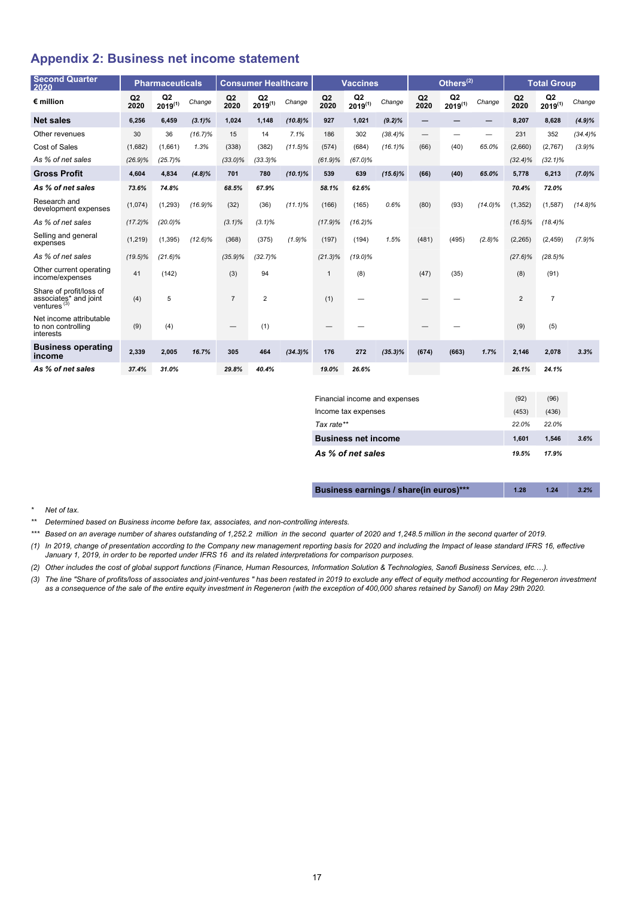### <span id="page-16-0"></span>**Appendix 2: Business net income statement**

| <b>Second Quarter</b><br>2020                                               |            | <b>Pharmaceuticals</b>         |            |                                 | <b>Consumer Healthcare</b>     |            |              | <b>Vaccines</b>                |            |            | Others $^{(2)}$    |            |            | <b>Total Group</b> |            |
|-----------------------------------------------------------------------------|------------|--------------------------------|------------|---------------------------------|--------------------------------|------------|--------------|--------------------------------|------------|------------|--------------------|------------|------------|--------------------|------------|
| $\epsilon$ million                                                          | Q2<br>2020 | Q <sub>2</sub><br>$2019^{(1)}$ | Change     | Q2<br>2020                      | Q <sub>2</sub><br>$2019^{(1)}$ | Change     | Q2<br>2020   | Q <sub>2</sub><br>$2019^{(1)}$ | Change     | Q2<br>2020 | Q2<br>$2019^{(1)}$ | Change     | Q2<br>2020 | Q2<br>$2019^{(1)}$ | Change     |
| <b>Net sales</b>                                                            | 6.256      | 6.459                          | $(3.1)\%$  | 1,024                           | 1,148                          | $(10.8)\%$ | 927          | 1,021                          | $(9.2)\%$  | -          |                    |            | 8,207      | 8.628              | $(4.9)\%$  |
| Other revenues                                                              | 30         | 36                             | $(16.7)\%$ | 15                              | 14                             | 7.1%       | 186          | 302                            | $(38.4)\%$ |            | -                  |            | 231        | 352                | $(34.4)\%$ |
| Cost of Sales                                                               | (1,682)    | (1,661)                        | 1.3%       | (338)                           | (382)                          | $(11.5)\%$ | (574)        | (684)                          | $(16.1)\%$ | (66)       | (40)               | 65.0%      | (2,660)    | (2,767)            | (3.9)%     |
| As % of net sales                                                           | $(26.9)\%$ | $(25.7)\%$                     |            | $(33.0)\%$                      | $(33.3)\%$                     |            | $(61.9)\%$   | $(67.0)\%$                     |            |            |                    |            | $(32.4)\%$ | $(32.1)\%$         |            |
| <b>Gross Profit</b>                                                         | 4.604      | 4.834                          | $(4.8)\%$  | 701                             | 780                            | $(10.1)\%$ | 539          | 639                            | $(15.6)\%$ | (66)       | (40)               | 65.0%      | 5,778      | 6,213              | $(7.0)\%$  |
| As % of net sales                                                           | 73.6%      | 74.8%                          |            | 68.5%                           | 67.9%                          |            | 58.1%        | 62.6%                          |            |            |                    |            | 70.4%      | 72.0%              |            |
| Research and<br>development expenses                                        | (1,074)    | (1, 293)                       | $(16.9)\%$ | (32)                            | (36)                           | $(11.1)\%$ | (166)        | (165)                          | 0.6%       | (80)       | (93)               | $(14.0)\%$ | (1, 352)   | (1, 587)           | $(14.8)\%$ |
| As % of net sales                                                           | $(17.2)\%$ | $(20.0)\%$                     |            | $(3.1)\%$                       | $(3.1)\%$                      |            | $(17.9)\%$   | $(16.2)\%$                     |            |            |                    |            | $(16.5)\%$ | $(18.4)\%$         |            |
| Selling and general<br>expenses                                             | (1, 219)   | (1, 395)                       | $(12.6)\%$ | (368)                           | (375)                          | (1.9)%     | (197)        | (194)                          | 1.5%       | (481)      | (495)              | $(2.8)\%$  | (2, 265)   | (2, 459)           | (7.9)%     |
| As % of net sales                                                           | $(19.5)\%$ | $(21.6)\%$                     |            | $(35.9)\%$                      | $(32.7)\%$                     |            | $(21.3)\%$   | $(19.0)\%$                     |            |            |                    |            | $(27.6)\%$ | $(28.5)\%$         |            |
| Other current operating<br>income/expenses                                  | 41         | (142)                          |            | (3)                             | 94                             |            | $\mathbf{1}$ | (8)                            |            | (47)       | (35)               |            | (8)        | (91)               |            |
| Share of profit/loss of<br>associates* and joint<br>ventures <sup>(3)</sup> | (4)        | 5                              |            | $\overline{7}$                  | $\overline{2}$                 |            | (1)          |                                |            |            |                    |            | 2          | $\overline{7}$     |            |
| Net income attributable<br>to non controlling<br>interests                  | (9)        | (4)                            |            | $\hspace{0.1mm}-\hspace{0.1mm}$ | (1)                            |            |              |                                |            |            |                    |            | (9)        | (5)                |            |
| <b>Business operating</b><br>income                                         | 2,339      | 2,005                          | 16.7%      | 305                             | 464                            | $(34.3)\%$ | 176          | 272                            | $(35.3)\%$ | (674)      | (663)              | 1.7%       | 2,146      | 2,078              | 3.3%       |
| As % of net sales                                                           | 37.4%      | 31.0%                          |            | 29.8%                           | 40.4%                          |            | 19.0%        | 26.6%                          |            |            |                    |            | 26.1%      | 24.1%              |            |

| Financial income and expenses | (92)  | (96)  |      |
|-------------------------------|-------|-------|------|
| Income tax expenses           | (453) | (436) |      |
| Tax rate**                    | 22.0% | 22.0% |      |
| <b>Business net income</b>    | 1.601 | 1.546 | 3.6% |
| As % of net sales             | 19.5% | 17.9% |      |

| Business earnings / share(in euros)*** | 1.28 | 1.24 | 3.2% |
|----------------------------------------|------|------|------|
|----------------------------------------|------|------|------|

*\* Net of tax.*

*\*\* Determined based on Business income before tax, associates, and non-controlling interests.*

*\*\*\* Based on an average number of shares outstanding of 1,252.2 million in the second quarter of 2020 and 1,248.5 million in the second quarter of 2019.*

*(1) In 2019, change of presentation according to the Company new management reporting basis for 2020 and including the Impact of lease standard IFRS 16, effective January 1, 2019, in order to be reported under IFRS 16 and its related interpretations for comparison purposes.*

*(2) Other includes the cost of global support functions (Finance, Human Resources, Information Solution & Technologies, Sanofi Business Services, etc.…).*

*(3) The line "Share of profits/loss of associates and joint-ventures " has been restated in 2019 to exclude any effect of equity method accounting for Regeneron investment as a consequence of the sale of the entire equity investment in Regeneron (with the exception of 400,000 shares retained by Sanofi) on May 29th 2020.*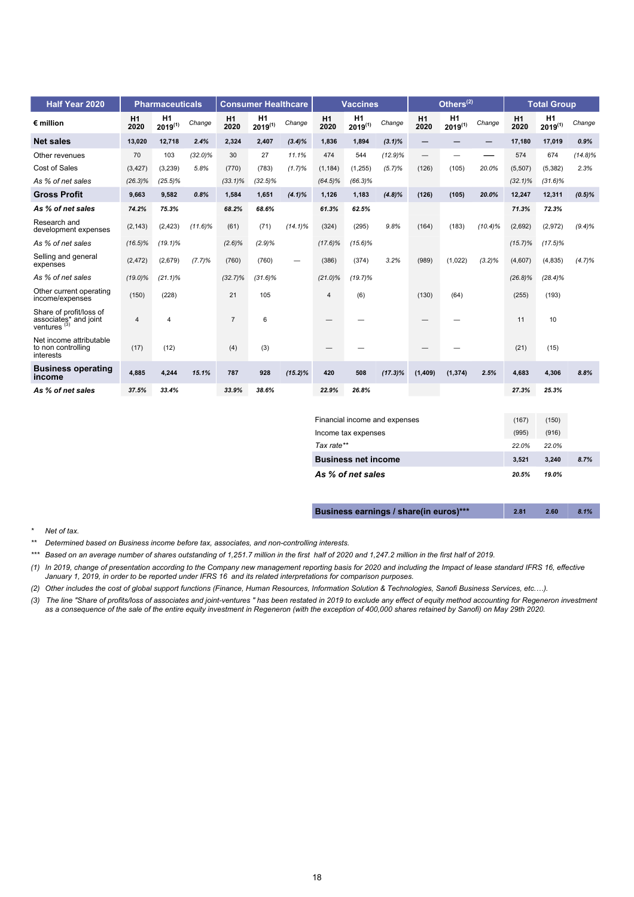| Half Year 2020                                                     |                | <b>Pharmaceuticals</b> |            |                | <b>Consumer Healthcare</b> |            |                | <b>Vaccines</b>    |            |                          | Others $^{(2)}$    |            |            | <b>Total Group</b> |            |
|--------------------------------------------------------------------|----------------|------------------------|------------|----------------|----------------------------|------------|----------------|--------------------|------------|--------------------------|--------------------|------------|------------|--------------------|------------|
| $\epsilon$ million                                                 | H1<br>2020     | H1<br>$2019^{(1)}$     | Change     | H1<br>2020     | H1<br>$2019^{(1)}$         | Change     | H1<br>2020     | H1<br>$2019^{(1)}$ | Change     | H1<br>2020               | H1<br>$2019^{(1)}$ | Change     | H1<br>2020 | H1<br>$2019^{(1)}$ | Change     |
| <b>Net sales</b>                                                   | 13,020         | 12,718                 | 2.4%       | 2,324          | 2,407                      | $(3.4)\%$  | 1.836          | 1,894              | $(3.1)\%$  | $\qquad \qquad -$        |                    | —          | 17,180     | 17,019             | 0.9%       |
| Other revenues                                                     | 70             | 103                    | $(32.0)\%$ | 30             | 27                         | 11.1%      | 474            | 544                | $(12.9)\%$ | $\overline{\phantom{m}}$ | -                  |            | 574        | 674                | $(14.8)\%$ |
| Cost of Sales                                                      | (3, 427)       | (3,239)                | 5.8%       | (770)          | (783)                      | (1.7)%     | (1, 184)       | (1, 255)           | (5.7)%     | (126)                    | (105)              | 20.0%      | (5,507)    | (5, 382)           | 2.3%       |
| As % of net sales                                                  | $(26.3)\%$     | $(25.5)\%$             |            | $(33.1)\%$     | $(32.5)\%$                 |            | $(64.5)\%$     | $(66.3)\%$         |            |                          |                    |            | $(32.1)\%$ | $(31.6)\%$         |            |
| <b>Gross Profit</b>                                                | 9.663          | 9.582                  | 0.8%       | 1,584          | 1,651                      | $(4.1)\%$  | 1,126          | 1,183              | $(4.8)\%$  | (126)                    | (105)              | 20.0%      | 12,247     | 12,311             | $(0.5)\%$  |
| As % of net sales                                                  | 74.2%          | 75.3%                  |            | 68.2%          | 68.6%                      |            | 61.3%          | 62.5%              |            |                          |                    |            | 71.3%      | 72.3%              |            |
| Research and<br>development expenses                               | (2, 143)       | (2, 423)               | $(11.6)\%$ | (61)           | (71)                       | $(14.1)\%$ | (324)          | (295)              | 9.8%       | (164)                    | (183)              | $(10.4)\%$ | (2,692)    | (2,972)            | $(9.4)\%$  |
| As % of net sales                                                  | $(16.5)\%$     | $(19.1)\%$             |            | $(2.6)\%$      | (2.9)%                     |            | $(17.6)\%$     | $(15.6)\%$         |            |                          |                    |            | $(15.7)\%$ | $(17.5)\%$         |            |
| Selling and general<br>expenses                                    | (2, 472)       | (2,679)                | (7.7)%     | (760)          | (760)                      | -          | (386)          | (374)              | 3.2%       | (989)                    | (1,022)            | $(3.2)\%$  | (4,607)    | (4, 835)           | (4.7)%     |
| As % of net sales                                                  | $(19.0)\%$     | $(21.1)\%$             |            | $(32.7)\%$     | $(31.6)\%$                 |            | $(21.0)\%$     | $(19.7)\%$         |            |                          |                    |            | $(26.8)\%$ | $(28.4)\%$         |            |
| Other current operating<br>income/expenses                         | (150)          | (228)                  |            | 21             | 105                        |            | $\overline{4}$ | (6)                |            | (130)                    | (64)               |            | (255)      | (193)              |            |
| Share of profit/loss of<br>associates* and joint<br>ventures $(3)$ | $\overline{4}$ | 4                      |            | $\overline{7}$ | 6                          |            |                |                    |            |                          |                    |            | 11         | 10                 |            |
| Net income attributable<br>to non controlling<br>interests         | (17)           | (12)                   |            | (4)            | (3)                        |            |                |                    |            |                          |                    |            | (21)       | (15)               |            |
| <b>Business operating</b><br>income                                | 4.885          | 4,244                  | 15.1%      | 787            | 928                        | $(15.2)\%$ | 420            | 508                | $(17.3)\%$ | (1, 409)                 | (1, 374)           | 2.5%       | 4,683      | 4,306              | 8.8%       |
| As % of net sales                                                  | 37.5%          | 33.4%                  |            | 33.9%          | 38.6%                      |            | 22.9%          | 26.8%              |            |                          |                    |            | 27.3%      | 25.3%              |            |
|                                                                    |                |                        |            |                |                            |            |                |                    |            |                          |                    |            |            |                    |            |

| Financial income and expenses | (167) | (150) |      |
|-------------------------------|-------|-------|------|
| Income tax expenses           | (995) | (916) |      |
| Tax rate**                    | 22.0% | 22.0% |      |
| <b>Business net income</b>    | 3.521 | 3.240 | 8.7% |
| As % of net sales             | 20.5% | 19.0% |      |

| Business earnings / share(in euros)*** | 2.81 | 2.60 | 8.1% |
|----------------------------------------|------|------|------|
|                                        |      |      |      |

#### *\* Net of tax.*

- *\*\*\* Based on an average number of shares outstanding of 1,251.7 million in the first half of 2020 and 1,247.2 million in the first half of 2019.*
- *(1) In 2019, change of presentation according to the Company new management reporting basis for 2020 and including the Impact of lease standard IFRS 16, effective January 1, 2019, in order to be reported under IFRS 16 and its related interpretations for comparison purposes.*
- *(2) Other includes the cost of global support functions (Finance, Human Resources, Information Solution & Technologies, Sanofi Business Services, etc.…).*
- *(3) The line "Share of profits/loss of associates and joint-ventures " has been restated in 2019 to exclude any effect of equity method accounting for Regeneron investment as a consequence of the sale of the entire equity investment in Regeneron (with the exception of 400,000 shares retained by Sanofi) on May 29th 2020.*

*<sup>\*\*</sup> Determined based on Business income before tax, associates, and non-controlling interests.*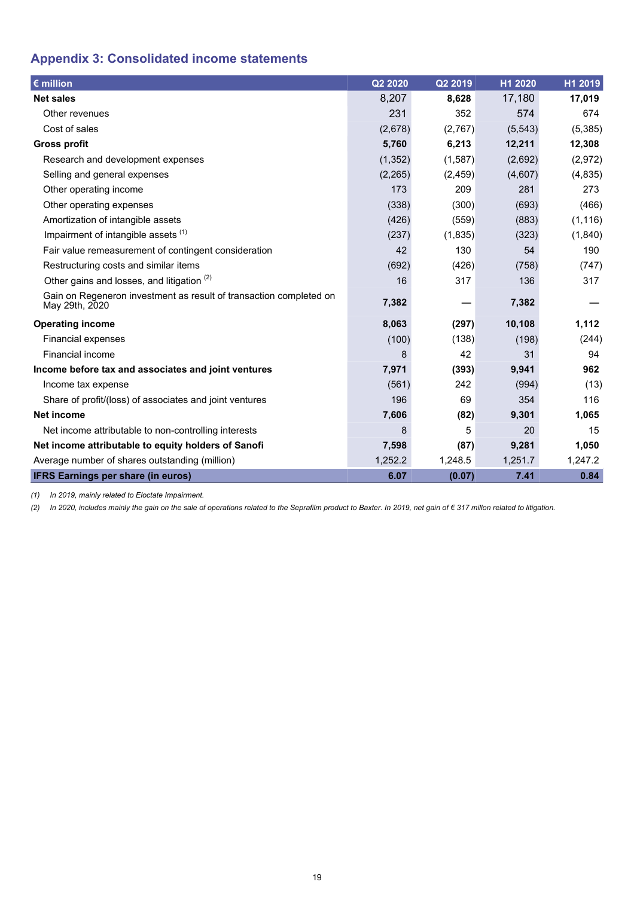# <span id="page-18-0"></span>**Appendix 3: Consolidated income statements**

| $\epsilon$ million                                                                   | Q2 2020  | Q2 2019  | H1 2020 | H1 2019  |
|--------------------------------------------------------------------------------------|----------|----------|---------|----------|
| <b>Net sales</b>                                                                     | 8,207    | 8,628    | 17,180  | 17,019   |
| Other revenues                                                                       | 231      | 352      | 574     | 674      |
| Cost of sales                                                                        | (2,678)  | (2,767)  | (5,543) | (5, 385) |
| <b>Gross profit</b>                                                                  | 5,760    | 6,213    | 12,211  | 12,308   |
| Research and development expenses                                                    | (1, 352) | (1,587)  | (2,692) | (2,972)  |
| Selling and general expenses                                                         | (2, 265) | (2, 459) | (4,607) | (4, 835) |
| Other operating income                                                               | 173      | 209      | 281     | 273      |
| Other operating expenses                                                             | (338)    | (300)    | (693)   | (466)    |
| Amortization of intangible assets                                                    | (426)    | (559)    | (883)   | (1, 116) |
| Impairment of intangible assets (1)                                                  | (237)    | (1,835)  | (323)   | (1,840)  |
| Fair value remeasurement of contingent consideration                                 | 42       | 130      | 54      | 190      |
| Restructuring costs and similar items                                                | (692)    | (426)    | (758)   | (747)    |
| Other gains and losses, and litigation <sup>(2)</sup>                                | 16       | 317      | 136     | 317      |
| Gain on Regeneron investment as result of transaction completed on<br>May 29th, 2020 | 7,382    |          | 7,382   |          |
| <b>Operating income</b>                                                              | 8,063    | (297)    | 10,108  | 1,112    |
| <b>Financial expenses</b>                                                            | (100)    | (138)    | (198)   | (244)    |
| <b>Financial income</b>                                                              | 8        | 42       | 31      | 94       |
| Income before tax and associates and joint ventures                                  | 7,971    | (393)    | 9,941   | 962      |
| Income tax expense                                                                   | (561)    | 242      | (994)   | (13)     |
| Share of profit/(loss) of associates and joint ventures                              | 196      | 69       | 354     | 116      |
| <b>Net income</b>                                                                    | 7,606    | (82)     | 9,301   | 1,065    |
| Net income attributable to non-controlling interests                                 | 8        | 5        | 20      | 15       |
| Net income attributable to equity holders of Sanofi                                  | 7,598    | (87)     | 9,281   | 1,050    |
| Average number of shares outstanding (million)                                       | 1,252.2  | 1,248.5  | 1,251.7 | 1,247.2  |
| <b>IFRS Earnings per share (in euros)</b>                                            | 6.07     | (0.07)   | 7.41    | 0.84     |

*(1) In 2019, mainly related to Eloctate Impairment.*

*(2) In 2020, includes mainly the gain on the sale of operations related to the Seprafilm product to Baxter. In 2019, net gain of € 317 millon related to litigation.*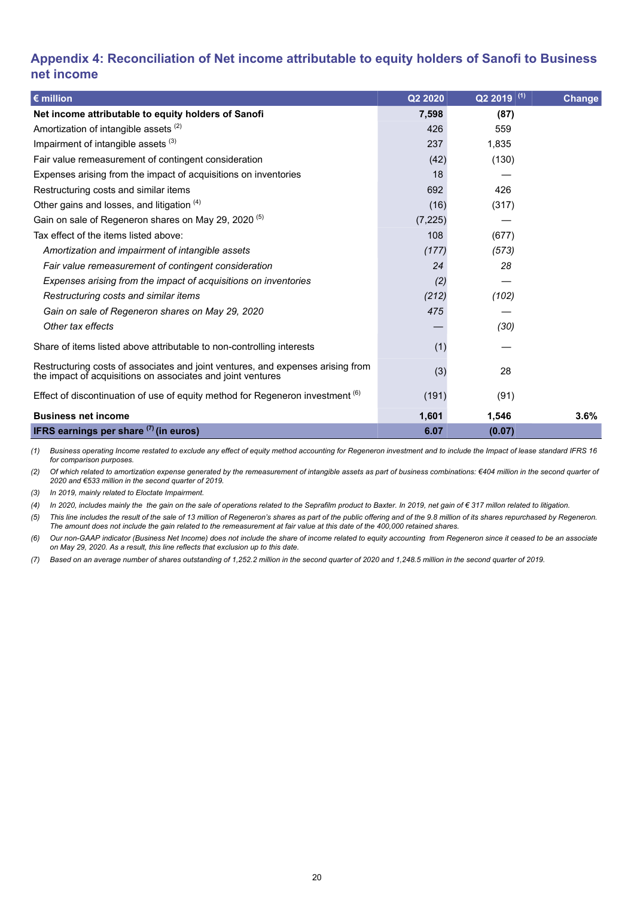## <span id="page-19-0"></span>**Appendix 4: Reconciliation of Net income attributable to equity holders of Sanofi to Business net income**

| $\epsilon$ million                                                                                                                             | Q2 2020  | $Q22019$ <sup>(1)</sup> | Change |
|------------------------------------------------------------------------------------------------------------------------------------------------|----------|-------------------------|--------|
| Net income attributable to equity holders of Sanofi                                                                                            | 7,598    | (87)                    |        |
| Amortization of intangible assets (2)                                                                                                          | 426      | 559                     |        |
| Impairment of intangible assets (3)                                                                                                            | 237      | 1,835                   |        |
| Fair value remeasurement of contingent consideration                                                                                           | (42)     | (130)                   |        |
| Expenses arising from the impact of acquisitions on inventories                                                                                | 18       |                         |        |
| Restructuring costs and similar items                                                                                                          | 692      | 426                     |        |
| Other gains and losses, and litigation (4)                                                                                                     | (16)     | (317)                   |        |
| Gain on sale of Regeneron shares on May 29, 2020 <sup>(5)</sup>                                                                                | (7, 225) |                         |        |
| Tax effect of the items listed above:                                                                                                          | 108      | (677)                   |        |
| Amortization and impairment of intangible assets                                                                                               | (177)    | (573)                   |        |
| Fair value remeasurement of contingent consideration                                                                                           | 24       | 28                      |        |
| Expenses arising from the impact of acquisitions on inventories                                                                                | (2)      |                         |        |
| Restructuring costs and similar items                                                                                                          | (212)    | (102)                   |        |
| Gain on sale of Regeneron shares on May 29, 2020                                                                                               | 475      |                         |        |
| Other tax effects                                                                                                                              |          | (30)                    |        |
| Share of items listed above attributable to non-controlling interests                                                                          | (1)      |                         |        |
| Restructuring costs of associates and joint ventures, and expenses arising from<br>the impact of acquisitions on associates and joint ventures | (3)      | 28                      |        |
| Effect of discontinuation of use of equity method for Regeneron investment (6)                                                                 | (191)    | (91)                    |        |
| <b>Business net income</b>                                                                                                                     | 1,601    | 1,546                   | 3.6%   |
| <b>IFRS earnings per share <math>(7)</math> (in euros)</b>                                                                                     | 6.07     | (0.07)                  |        |

*(1) Business operating Income restated to exclude any effect of equity method accounting for Regeneron investment and to include the Impact of lease standard IFRS 16 for comparison purposes.*

*(2) Of which related to amortization expense generated by the remeasurement of intangible assets as part of business combinations: €404 million in the second quarter of 2020 and €533 million in the second quarter of 2019.*

*(3) In 2019, mainly related to Eloctate Impairment.*

*(4) In 2020, includes mainly the the gain on the sale of operations related to the Seprafilm product to Baxter. In 2019, net gain of € 317 millon related to litigation.*

*(5) This line includes the result of the sale of 13 million of Regeneron's shares as part of the public offering and of the 9.8 million of its shares repurchased by Regeneron. The amount does not include the gain related to the remeasurement at fair value at this date of the 400,000 retained shares.*

*(6) Our non-GAAP indicator (Business Net Income) does not include the share of income related to equity accounting from Regeneron since it ceased to be an associate on May 29, 2020. As a result, this line reflects that exclusion up to this date.*

*(7) Based on an average number of shares outstanding of 1,252.2 million in the second quarter of 2020 and 1,248.5 million in the second quarter of 2019.*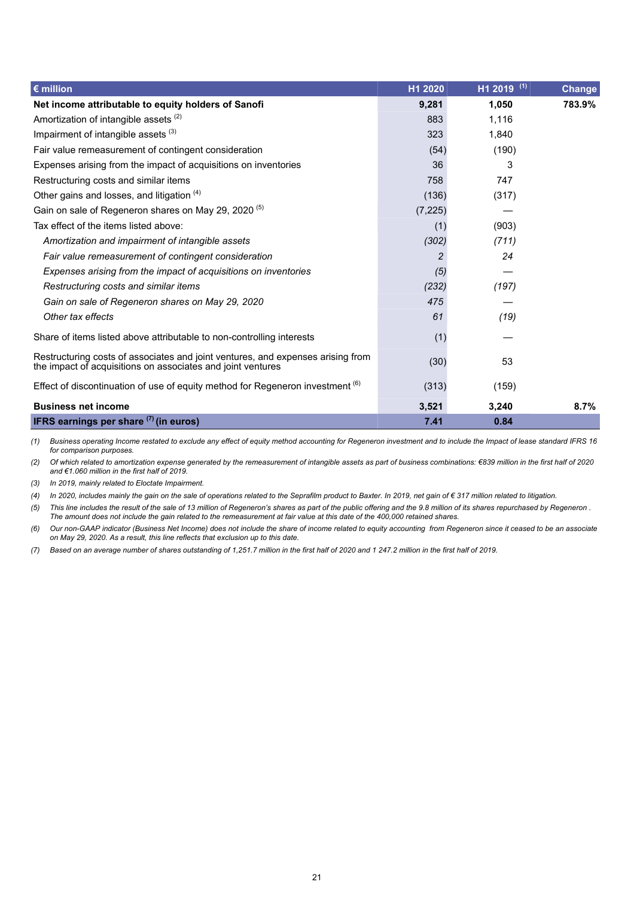| $\epsilon$ million                                                                                                                             | H1 2020  | $H1$ 2019 (1) | Change |
|------------------------------------------------------------------------------------------------------------------------------------------------|----------|---------------|--------|
| Net income attributable to equity holders of Sanofi                                                                                            | 9,281    | 1,050         | 783.9% |
| Amortization of intangible assets (2)                                                                                                          | 883      | 1.116         |        |
| Impairment of intangible assets (3)                                                                                                            | 323      | 1,840         |        |
| Fair value remeasurement of contingent consideration                                                                                           | (54)     | (190)         |        |
| Expenses arising from the impact of acquisitions on inventories                                                                                | 36       | 3             |        |
| Restructuring costs and similar items                                                                                                          | 758      | 747           |        |
| Other gains and losses, and litigation (4)                                                                                                     | (136)    | (317)         |        |
| Gain on sale of Regeneron shares on May 29, 2020 <sup>(5)</sup>                                                                                | (7, 225) |               |        |
| Tax effect of the items listed above:                                                                                                          | (1)      | (903)         |        |
| Amortization and impairment of intangible assets                                                                                               | (302)    | (711)         |        |
| Fair value remeasurement of contingent consideration                                                                                           | 2        | 24            |        |
| Expenses arising from the impact of acquisitions on inventories                                                                                | (5)      |               |        |
| Restructuring costs and similar items                                                                                                          | (232)    | (197)         |        |
| Gain on sale of Regeneron shares on May 29, 2020                                                                                               | 475      |               |        |
| Other tax effects                                                                                                                              | 61       | (19)          |        |
| Share of items listed above attributable to non-controlling interests                                                                          | (1)      |               |        |
| Restructuring costs of associates and joint ventures, and expenses arising from<br>the impact of acquisitions on associates and joint ventures | (30)     | 53            |        |
| Effect of discontinuation of use of equity method for Regeneron investment (6)                                                                 | (313)    | (159)         |        |
| <b>Business net income</b>                                                                                                                     | 3,521    | 3,240         | 8.7%   |
| <b>IFRS earnings per share <math>(7)</math> (in euros)</b>                                                                                     | 7.41     | 0.84          |        |

*(1) Business operating Income restated to exclude any effect of equity method accounting for Regeneron investment and to include the Impact of lease standard IFRS 16 for comparison purposes.*

*(2) Of which related to amortization expense generated by the remeasurement of intangible assets as part of business combinations: €839 million in the first half of 2020 and €1.060 million in the first half of 2019.*

*(3) In 2019, mainly related to Eloctate Impairment.*

*(4) In 2020, includes mainly the gain on the sale of operations related to the Seprafilm product to Baxter. In 2019, net gain of € 317 million related to litigation.*

*(5) This line includes the result of the sale of 13 million of Regeneron's shares as part of the public offering and the 9.8 million of its shares repurchased by Regeneron . The amount does not include the gain related to the remeasurement at fair value at this date of the 400,000 retained shares.*

*(6) Our non-GAAP indicator (Business Net Income) does not include the share of income related to equity accounting from Regeneron since it ceased to be an associate on May 29, 2020. As a result, this line reflects that exclusion up to this date.*

*(7) Based on an average number of shares outstanding of 1,251.7 million in the first half of 2020 and 1 247.2 million in the first half of 2019.*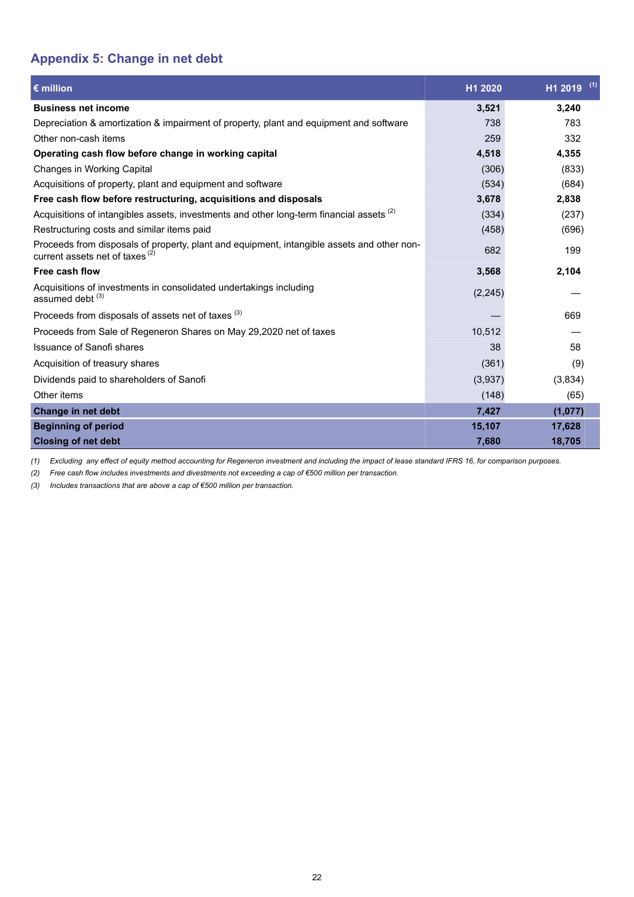## <span id="page-21-0"></span>**Appendix 5: Change in net debt**

| $\epsilon$ million                                                                                                                       | H1 2020 | (1)<br>H1 2019 |
|------------------------------------------------------------------------------------------------------------------------------------------|---------|----------------|
| <b>Business net income</b>                                                                                                               | 3,521   | 3.240          |
| Depreciation & amortization & impairment of property, plant and equipment and software                                                   | 738     | 783            |
| Other non-cash items                                                                                                                     | 259     | 332            |
| Operating cash flow before change in working capital                                                                                     | 4,518   | 4,355          |
| Changes in Working Capital                                                                                                               | (306)   | (833)          |
| Acquisitions of property, plant and equipment and software                                                                               | (534)   | (684)          |
| Free cash flow before restructuring, acquisitions and disposals                                                                          | 3,678   | 2,838          |
| Acquisitions of intangibles assets, investments and other long-term financial assets (2)                                                 | (334)   | (237)          |
| Restructuring costs and similar items paid                                                                                               | (458)   | (696)          |
| Proceeds from disposals of property, plant and equipment, intangible assets and other non-<br>current assets net of taxes <sup>(2)</sup> | 682     | 199            |
| Free cash flow                                                                                                                           | 3,568   | 2,104          |
| Acquisitions of investments in consolidated undertakings including<br>assumed debt <sup>(3)</sup>                                        | (2,245) |                |
| Proceeds from disposals of assets net of taxes <sup>(3)</sup>                                                                            |         | 669            |
| Proceeds from Sale of Regeneron Shares on May 29,2020 net of taxes                                                                       | 10,512  |                |
| Issuance of Sanofi shares                                                                                                                | 38      | 58             |
| Acquisition of treasury shares                                                                                                           | (361)   | (9)            |
| Dividends paid to shareholders of Sanofi                                                                                                 | (3,937) | (3,834)        |
| Other items                                                                                                                              | (148)   | (65)           |
| <b>Change in net debt</b>                                                                                                                | 7,427   | (1,077)        |
| <b>Beginning of period</b>                                                                                                               | 15,107  | 17,628         |
| <b>Closing of net debt</b>                                                                                                               | 7,680   | 18,705         |

*(1) Excluding any effect of equity method accounting for Regeneron investment and including the impact of lease standard IFRS 16, for comparison purposes.*

*(2) Free cash flow includes investments and divestments not exceeding a cap of €500 million per transaction.* 

*(3) Includes transactions that are above a cap of €500 million per transaction.*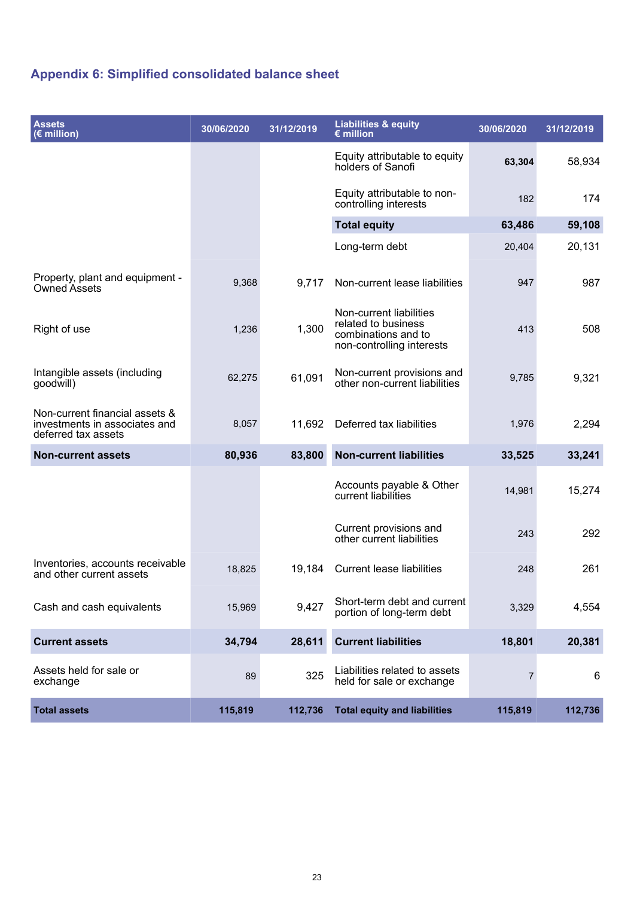# **Appendix 6: Simplified consolidated balance sheet**

| <b>Assets</b><br>$\sqrt{2}$ million)                                                   | 30/06/2020 | 31/12/2019 | <b>Liabilities &amp; equity</b><br>$\epsilon$ million                                              | 30/06/2020 | 31/12/2019 |
|----------------------------------------------------------------------------------------|------------|------------|----------------------------------------------------------------------------------------------------|------------|------------|
|                                                                                        |            |            | Equity attributable to equity<br>holders of Sanofi                                                 | 63,304     | 58,934     |
|                                                                                        |            |            | Equity attributable to non-<br>controlling interests                                               | 182        | 174        |
|                                                                                        |            |            | <b>Total equity</b>                                                                                | 63,486     | 59,108     |
|                                                                                        |            |            | Long-term debt                                                                                     | 20,404     | 20,131     |
| Property, plant and equipment -<br><b>Owned Assets</b>                                 | 9,368      | 9,717      | Non-current lease liabilities                                                                      | 947        | 987        |
| Right of use                                                                           | 1,236      | 1,300      | Non-current liabilities<br>related to business<br>combinations and to<br>non-controlling interests | 413        | 508        |
| Intangible assets (including<br>goodwill)                                              | 62,275     | 61,091     | Non-current provisions and<br>other non-current liabilities                                        | 9,785      | 9,321      |
| Non-current financial assets &<br>investments in associates and<br>deferred tax assets | 8,057      | 11,692     | Deferred tax liabilities                                                                           | 1,976      | 2,294      |
| <b>Non-current assets</b>                                                              | 80,936     | 83,800     | <b>Non-current liabilities</b>                                                                     | 33,525     | 33,241     |
|                                                                                        |            |            | Accounts payable & Other<br>current liabilities                                                    | 14,981     | 15,274     |
|                                                                                        |            |            | Current provisions and<br>other current liabilities                                                | 243        | 292        |
| Inventories, accounts receivable<br>and other current assets                           | 18,825     | 19,184     | <b>Current lease liabilities</b>                                                                   | 248        | 261        |
| Cash and cash equivalents                                                              | 15,969     | 9,427      | Short-term debt and current<br>portion of long-term debt                                           | 3,329      | 4,554      |
| <b>Current assets</b>                                                                  | 34,794     | 28,611     | <b>Current liabilities</b>                                                                         | 18,801     | 20,381     |
| Assets held for sale or<br>exchange                                                    | 89         | 325        | Liabilities related to assets<br>held for sale or exchange                                         | 7          | 6          |
| <b>Total assets</b>                                                                    | 115,819    | 112,736    | <b>Total equity and liabilities</b>                                                                | 115,819    | 112,736    |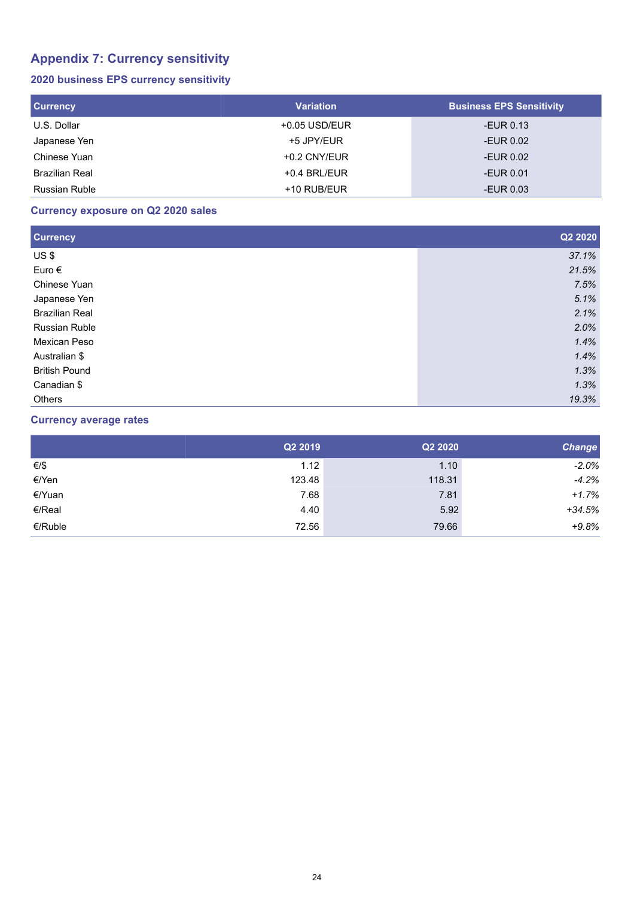# **Appendix 7: Currency sensitivity**

## **2020 business EPS currency sensitivity**

| <b>Currency</b>      | <b>Variation</b> | <b>Business EPS Sensitivity</b> |
|----------------------|------------------|---------------------------------|
| U.S. Dollar          | $+0.05$ USD/EUR  | -EUR 0.13                       |
| Japanese Yen         | +5 JPY/EUR       | -EUR 0.02                       |
| Chinese Yuan         | $+0.2$ CNY/EUR   | -EUR 0.02                       |
| Brazilian Real       | $+0.4$ BRL/EUR   | -EUR 0.01                       |
| <b>Russian Ruble</b> | +10 RUB/EUR      | -EUR $0.03$                     |

### **Currency exposure on Q2 2020 sales**

| <b>Currency</b>       | Q2 2020 |
|-----------------------|---------|
| US\$                  | 37.1%   |
| Euro $\epsilon$       | 21.5%   |
| Chinese Yuan          | 7.5%    |
| Japanese Yen          | 5.1%    |
| <b>Brazilian Real</b> | 2.1%    |
| <b>Russian Ruble</b>  | 2.0%    |
| Mexican Peso          | 1.4%    |
| Australian \$         | 1.4%    |
| <b>British Pound</b>  | 1.3%    |
| Canadian \$           | 1.3%    |
| <b>Others</b>         | 19.3%   |

### **Currency average rates**

|         | Q2 2019 | Q2 2020 | <b>Change</b> |
|---------|---------|---------|---------------|
| €/\$    | 1.12    | 1.10    | $-2.0%$       |
| €/Yen   | 123.48  | 118.31  | $-4.2%$       |
| €/Yuan  | 7.68    | 7.81    | $+1.7%$       |
| €/Real  | 4.40    | 5.92    | $+34.5%$      |
| €/Ruble | 72.56   | 79.66   | $+9.8%$       |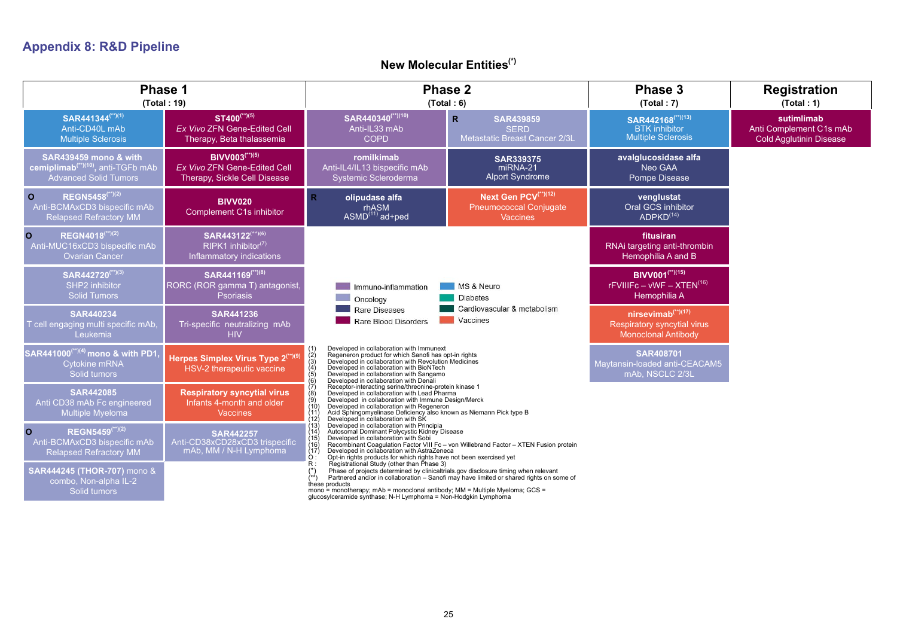# **Appendix 8: R&D Pipeline**

## **New Molecular Entities(\*)**

|                                                                                                                    | Phase 1<br>(Total: 19)                                                                            |                                                                                                                                                                                                                                                                                                                                              | Phase 2<br>(Total: 6)                                                                   |                                                                                         | <b>Registration</b><br>(Total: 1)                                       |
|--------------------------------------------------------------------------------------------------------------------|---------------------------------------------------------------------------------------------------|----------------------------------------------------------------------------------------------------------------------------------------------------------------------------------------------------------------------------------------------------------------------------------------------------------------------------------------------|-----------------------------------------------------------------------------------------|-----------------------------------------------------------------------------------------|-------------------------------------------------------------------------|
| SAR441344 <sup>(**)(1)</sup><br>Anti-CD40L mAb<br><b>Multiple Sclerosis</b>                                        | $ST400^{(*)(5)}$<br>Ex Vivo ZFN Gene-Edited Cell<br>Therapy, Beta thalassemia                     | SAR440340 <sup>(**)(10)</sup><br>Anti-IL33 mAb<br><b>COPD</b>                                                                                                                                                                                                                                                                                | $\mathsf{R}$<br><b>SAR439859</b><br><b>SERD</b><br>Metastatic Breast Cancer 2/3L        | SAR442168 <sup>(**)(13)</sup><br><b>BTK</b> inhibitor<br><b>Multiple Sclerosis</b>      | sutimlimab<br>Anti Complement C1s mAb<br><b>Cold Agglutinin Disease</b> |
| <b>SAR439459 mono &amp; with</b><br>cemiplimab <sup>(**)(10)</sup> , anti-TGFb mAb<br><b>Advanced Solid Tumors</b> | <b>BIVV003</b> <sup>(**)(5)</sup><br>Ex Vivo ZFN Gene-Edited Cell<br>Therapy, Sickle Cell Disease | romilkimab<br>Anti-IL4/IL13 bispecific mAb<br>Systemic Scleroderma                                                                                                                                                                                                                                                                           | <b>SAR339375</b><br>miRNA-21<br><b>Alport Syndrome</b>                                  | avalglucosidase alfa<br>Neo GAA<br>Pompe Disease                                        |                                                                         |
| REGN5458 <sup>(**)(2)</sup><br>$\circ$<br>Anti-BCMAxCD3 bispecific mAb<br><b>Relapsed Refractory MM</b>            | <b>BIVV020</b><br><b>Complement C1s inhibitor</b>                                                 | olipudase alfa<br>R.<br>rhASM<br>ASMD <sup>(11)</sup> ad+ped                                                                                                                                                                                                                                                                                 | Next Gen PCV <sup>(**)(12)</sup><br><b>Pneumococcal Conjugate</b><br><b>Vaccines</b>    | venglustat<br>Oral GCS inhibitor<br>ADPKD <sup>(14)</sup>                               |                                                                         |
| REGN4018(**)(2)<br>$\mathbf{o}$<br>Anti-MUC16xCD3 bispecific mAb<br><b>Ovarian Cancer</b>                          | SAR443122 <sup>(**)(6)</sup><br>$RIPK1$ inhibitor <sup>(7)</sup><br>Inflammatory indications      |                                                                                                                                                                                                                                                                                                                                              |                                                                                         | fitusiran<br>RNAi targeting anti-thrombin<br>Hemophilia A and B                         |                                                                         |
| SAR442720 <sup>(**)(3)</sup><br>SHP2 inhibitor<br><b>Solid Tumors</b>                                              | SAR441169(**)(8)<br>RORC (ROR gamma T) antagonist,<br><b>Psoriasis</b>                            | Immuno-inflammation<br>Oncology                                                                                                                                                                                                                                                                                                              | MS & Neuro<br><b>Diabetes</b>                                                           | BIVV001 <sup>(**)(15)</sup><br>$r$ FVIIIFc - vWF - XTEN <sup>(16)</sup><br>Hemophilia A |                                                                         |
| <b>SAR440234</b><br>T cell engaging multi specific mAb<br>Leukemia                                                 | <b>SAR441236</b><br>Tri-specific neutralizing mAb<br><b>HIV</b>                                   | Rare Diseases<br>Rare Blood Disorders                                                                                                                                                                                                                                                                                                        | Cardiovascular & metabolism<br><b>Vaccines</b>                                          | $n$ irsevimab $(17)$<br>Respiratory syncytial virus<br><b>Monoclonal Antibody</b>       |                                                                         |
| SAR441000 <sup>(**)(4)</sup> mono & with PD1<br>Cytokine mRNA<br>Solid tumors                                      | Herpes Simplex Virus Type 2 <sup>(**)(9)</sup><br>HSV-2 therapeutic vaccine                       | Developed in collaboration with Immunext<br>Regeneron product for which Sanofi has opt-in rights<br>Developed in collaboration with Revolution Medicines<br>$\binom{2}{3}$<br>$\binom{4}{5}$<br>Developed in collaboration with BioNTech<br>Developed in collaboration with Sangamo<br>Developed in collaboration with Denali                |                                                                                         | <b>SAR408701</b><br>Maytansin-loaded anti-CEACAM5<br>mAb, NSCLC 2/3L                    |                                                                         |
| <b>SAR442085</b><br>Anti CD38 mAb Fc engineered<br>Multiple Myeloma                                                | <b>Respiratory syncytial virus</b><br>Infants 4-month and older<br><b>Vaccines</b>                | Receptor-interacting serine/threonine-protein kinase 1<br>Developed in collaboration with Lead Pharma<br>(8)<br>Developed in collaboration with Immune Design/Merck<br>Developed in collaboration with Regeneron<br>Acid Sphingomyelinase Deficiency also known as Niemann Pick type B<br>Developed in collaboration with SK<br>(11)<br>(12) |                                                                                         |                                                                                         |                                                                         |
| <b>REGN5459(**)(2)</b><br>$\mathbf{o}$<br>Anti-BCMAxCD3 bispecific mAb<br><b>Relapsed Refractory MM</b>            | <b>SAR442257</b><br>Anti-CD38xCD28xCD3 trispecific<br>mAb, MM / N-H Lymphoma                      | Developed in collaboration with Principia<br>(13)<br>Autosomal Dominant Polycystic Kidney Disease<br>(14)<br>Developed in collaboration with Sobi<br>(15)<br>(16)<br>Developed in collaboration with AstraZeneca<br>(17)<br>Opt-in rights products for which rights have not been exercised yet<br>$\ddot{\rm O}$ :                          | Recombinant Coagulation Factor VIII Fc - von Willebrand Factor - XTEN Fusion protein    |                                                                                         |                                                                         |
| SAR444245 (THOR-707) mono &<br>combo, Non-alpha IL-2<br>Solid tumors                                               |                                                                                                   | R:<br>Registrational Study (other than Phase 3)<br>Phase of projects determined by clinicaltrials gov disclosure timing when relevant<br>these products<br>mono = monotherapy; mAb = monoclonal antibody; MM = Multiple Myeloma; GCS =<br>glucosylceramide synthase; N-H Lymphoma = Non-Hodgkin Lymphoma                                     | Partnered and/or in collaboration - Sanofi may have limited or shared rights on some of |                                                                                         |                                                                         |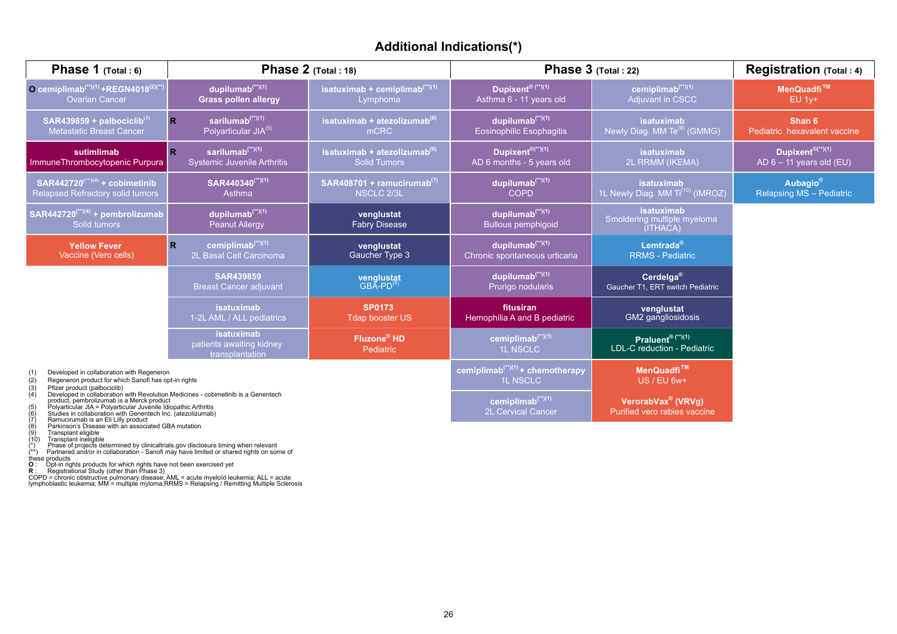## **Additional Indications(\*)**

| <b>Phase 1</b> $(Total: 6)$                                                                                                                                                                                                                                                    | Phase $2$ (Total: 18)                                                      |                                                                 |                                                                  | Phase $3$ (Total: 22)                                          | Registration (Total: 4)                                        |
|--------------------------------------------------------------------------------------------------------------------------------------------------------------------------------------------------------------------------------------------------------------------------------|----------------------------------------------------------------------------|-----------------------------------------------------------------|------------------------------------------------------------------|----------------------------------------------------------------|----------------------------------------------------------------|
| O cemiplimab <sup>(**)(1)</sup> +REGN4018 <sup>(2)(**)</sup><br><b>Ovarian Cancer</b>                                                                                                                                                                                          | dupilumab <sup>(**)(1)</sup><br><b>Grass pollen allergy</b>                | isatuximab + cemiplimab <sup>(**)(1)</sup><br>Lymphoma          | Dupixent® <sup>(**)(1)</sup><br>Asthma 6 - 11 years old          | cemiplimab <sup>(**)(1)</sup><br><b>Adjuvant in CSCC</b>       | MenQuadfi <sup>™</sup><br><b>EU 1v+</b>                        |
| SAR439859 + palbociclib <sup>(3)</sup><br><b>Metastatic Breast Cancer</b>                                                                                                                                                                                                      | sarilumab $(1)$ <sup>(**)(1)</sup><br>$\mathbb{R}$<br>Polyarticular JIA(5) | isatuximab + atezoliz <u>umab<sup>(6)</sup></u><br>mCRC         | dupilumab <sup>(**)(1)</sup><br><b>Eosinophilic Esophagitis</b>  | isatuximab<br>Newly Diag. MM Te <sup>(9)</sup> (GMMG)          | Shan 6<br>Pediatric hexavalent vaccine                         |
| sutimlimab<br>ImmuneThrombocytopenic Purpura                                                                                                                                                                                                                                   | sarilumab $(1)$<br>R.<br><b>Systemic Juvenile Arthritis</b>                | isatuximab + atezolizumab <sup>(6)</sup><br><b>Solid Tumors</b> | Dupixent <sup>®(**)(1)</sup><br>AD 6 months - 5 years old        | isatuximab<br>2L RRMM (IKEMA)                                  | Dupixent <sup>®(**)(1)</sup><br>AD $6 - 11$ years old (EU)     |
| SAR442720 <sup>(**)(4)</sup> + cobimetinib<br><b>Relapsed Refractory solid tumors</b>                                                                                                                                                                                          | SAR440340 <sup>(**)(1)</sup><br>Asthma                                     | SAR408701 + ramucirumab <sup>(7)</sup><br><b>NSCLC 2/3L</b>     | dupilumab <sup>(**)(1)</sup><br><b>COPD</b>                      | isatuximab<br>1L Newly Diag. MM Ti <sup>(10)</sup> (IMROZ)     | <b>Aubagio</b> <sup>®</sup><br><b>Relapsing MS - Pediatric</b> |
| $SAR442720$ <sup>(**)(4)</sup> + pembrolizumab<br>Solid tumors                                                                                                                                                                                                                 | dupilumab <sup>(**)(1)</sup><br><b>Peanut Allergy</b>                      | venglustat<br><b>Fabry Disease</b>                              | dupilumab <sup>(**)(1)</sup><br><b>Bullous pemphigoid</b>        | <b>isatuximab</b><br>Smoldering multiple myeloma<br>(ITHACA)   |                                                                |
| <b>Yellow Fever</b><br>Vaccine (Vero cells)                                                                                                                                                                                                                                    | cemiplimab <sup>(**)(1)</sup><br>R.<br>2L Basal Cell Carcinoma             | venglustat<br>Gaucher Type 3                                    | dupilumab <sup>(**)(1)</sup><br>Chronic spontaneous urticaria    | Lemtrada®<br><b>RRMS - Pediatric</b>                           |                                                                |
|                                                                                                                                                                                                                                                                                | <b>SAR439859</b><br><b>Breast Cancer adjuvant</b>                          | <b>venglustat</b><br>GBA-PD <sup>(8)</sup>                      | dupilumab <sup>(**)(1)</sup><br>Prurigo nodularis                | Cerdelga®<br>Gaucher T1, ERT switch Pediatric                  |                                                                |
|                                                                                                                                                                                                                                                                                | isatuximab<br>1-2L AML / ALL pediatrics                                    | <b>SP0173</b><br><b>Tdap booster US</b>                         | fitusiran<br>Hemophilia A and B pediatric                        | venglustat<br>GM2 gangliosidosis                               |                                                                |
|                                                                                                                                                                                                                                                                                | isatuximab<br>patients awaiting kidney<br>transplantation                  | Fluzone <sup>®</sup> HD<br>Pediatric                            | cemiplimab <sup>(**)(1)</sup><br><b>1L NSCLC</b>                 | Praluent <sup>® (**)(1)</sup><br>LDL-C reduction - Pediatric   |                                                                |
| Developed in collaboration with Regeneron<br>(1)<br>Regeneron product for which Sanofi has opt-in rights<br>(2)<br>Pfizer product (palbociclib)<br>(3)                                                                                                                         |                                                                            |                                                                 | cemiplimab <sup>(**)(1)</sup> + chemotherapy<br><b>1L NSCLC</b>  | MenQuadfi <sup>™</sup><br>US / EU 6w+                          |                                                                |
| Developed in collaboration with Revolution Medicines - cobimetinib is a Genentech<br>(4)<br>product, pembrolizumab.is a Merck product<br>Polyarticular JIA = Polyarticular Juvenile Idiopathic Arthritis<br>(6)<br>Studies in collaboration with Genentech Inc. (atezolizumab) |                                                                            |                                                                 | cemiplimab $(1)$ <sup>(**)(1)</sup><br><b>2L Cervical Cancer</b> | VerorabVax <sup>®</sup> (VRVg)<br>Purified vero rabies vaccine |                                                                |

- 
- 
- 
- 

- (6)<br>
Studies in collaboration with Generatech Inc. (atezolizumab)<br>
(7) Ramucirumab is an Eli Lilly product<br>
(8) Transplant eligible<br>
(10) Transplant eligible<br>
(10) Transplant ineligible<br>
(10) Transplant ineligible<br>
(10) Tr
- 
-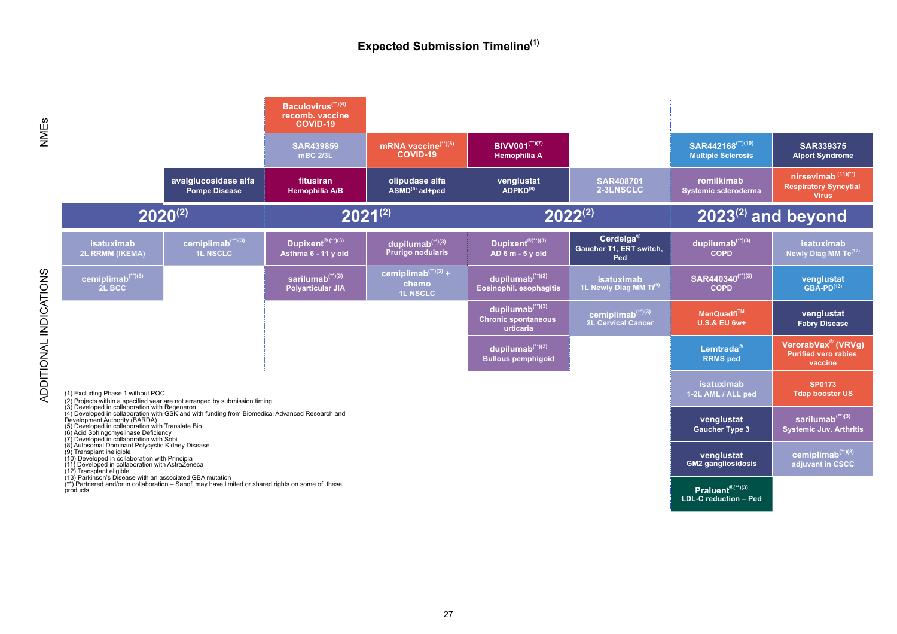### **Expected Submission Timeline(1)**

NMEs

ADDITIONAL INDICATIONS

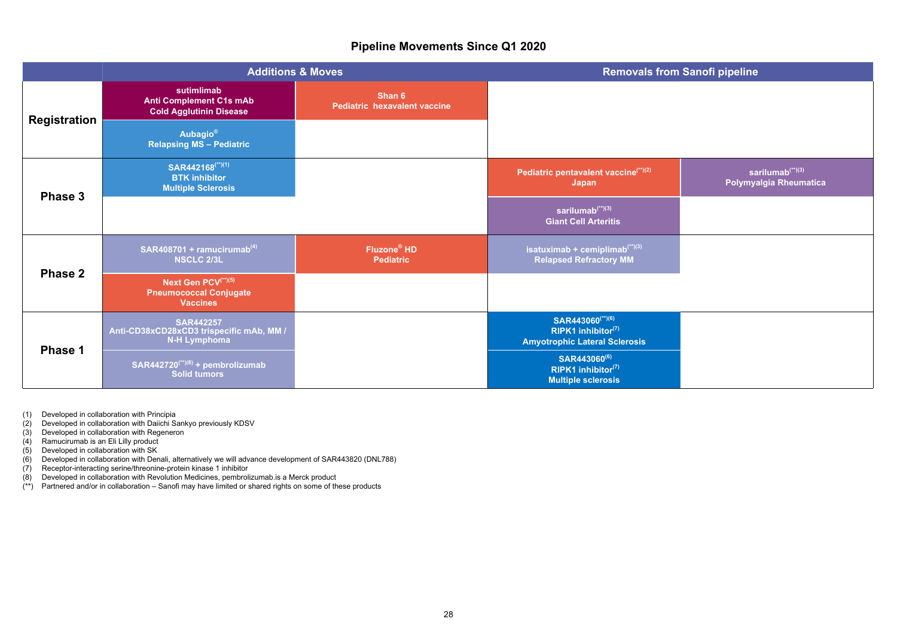### **Pipeline Movements Since Q1 2020**

|                     |                                                                                     | <b>Additions &amp; Moves</b>                | <b>Removals from Sanofi pipeline</b>                                                       |                                                        |
|---------------------|-------------------------------------------------------------------------------------|---------------------------------------------|--------------------------------------------------------------------------------------------|--------------------------------------------------------|
| <b>Registration</b> | sutimlimab<br><b>Anti Complement C1s mAb</b><br><b>Cold Agglutinin Disease</b>      | Shan 6<br>Pediatric hexavalent vaccine      |                                                                                            |                                                        |
|                     | <b>Aubagio®</b><br><b>Relapsing MS - Pediatric</b>                                  |                                             |                                                                                            |                                                        |
| Phase 3             | SAR442168 <sup>(**)(1)</sup><br><b>BTK</b> inhibitor<br><b>Multiple Sclerosis</b>   |                                             | Pediatric pentavalent vaccine <sup>(**)(2)</sup><br>Japan                                  | sarilumab <sup>(**)(3)</sup><br>Polymyalgia Rheumatica |
|                     |                                                                                     |                                             | sarilumab $^{(*)(3)}$<br><b>Giant Cell Arteritis</b>                                       |                                                        |
| Phase 2             | SAR408701 + ramucirumab <sup>(4)</sup><br><b>NSCLC 2/3L</b>                         | Fluzone <sup>®</sup> HD<br><b>Pediatric</b> | isatuximab + cemiplimab $(1)(3)$<br><b>Relapsed Refractory MM</b>                          |                                                        |
|                     | Next Gen PCV <sup>(**)(5)</sup><br><b>Pneumococcal Conjugate</b><br><b>Vaccines</b> |                                             |                                                                                            |                                                        |
| Phase 1             | <b>SAR442257</b><br>Anti-CD38xCD28xCD3 trispecific mAb, MM /<br><b>N-H Lymphoma</b> |                                             | SAR443060 <sup>(**)(6)</sup><br>RIPK1 inhibitor(7)<br><b>Amyotrophic Lateral Sclerosis</b> |                                                        |
|                     | $SAR442720^{(*)}(8) +$ pembrolizumab<br>Solid tumors                                |                                             | SAR443060 <sup>(6)</sup><br>RIPK1 inhibitor $(7)$<br><b>Multiple sclerosis</b>             |                                                        |

(1) Developed in collaboration with Principia

- (2) Developed in collaboration with Daiichi Sankyo previously KDSV
- (3) Developed in collaboration with Regeneron
- (4) Ramucirumab is an Eli Lilly product
- (5) Developed in collaboration with SK
- (6) Developed in collaboration with Denali, alternatively we will advance development of SAR443820 (DNL788)
- (7) Receptor-interacting serine/threonine-protein kinase 1 inhibitor
- (8) Developed in collaboration with Revolution Medicines, pembrolizumab.is a Merck product
- (\*\*) Partnered and/or in collaboration Sanofi may have limited or shared rights on some of these products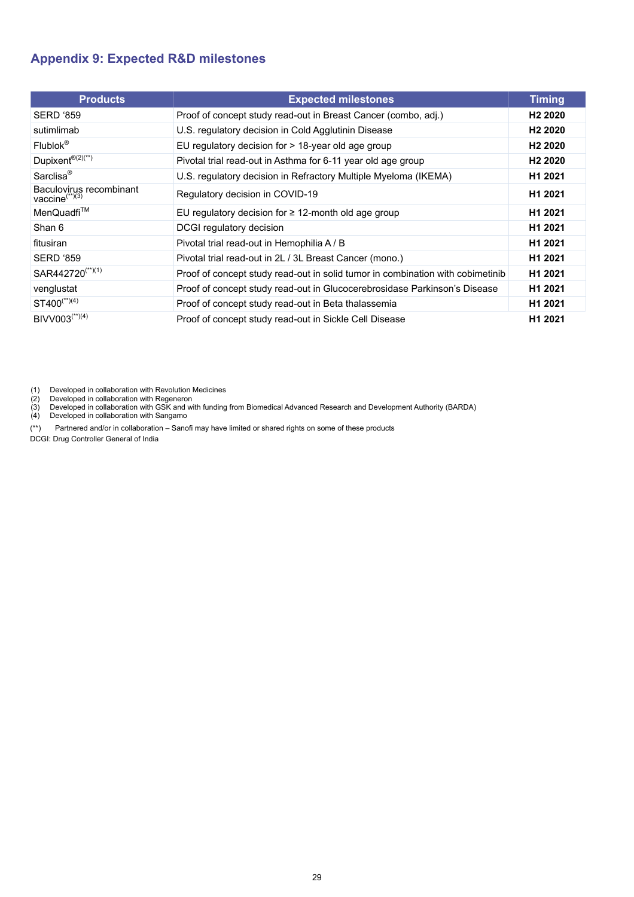## <span id="page-28-0"></span>**Appendix 9: Expected R&D milestones**

| <b>Products</b>                                    | <b>Expected milestones</b>                                                     | <b>Timing</b>       |
|----------------------------------------------------|--------------------------------------------------------------------------------|---------------------|
| <b>SERD '859</b>                                   | Proof of concept study read-out in Breast Cancer (combo, adj.)                 | H <sub>2</sub> 2020 |
| sutimlimab                                         | U.S. regulatory decision in Cold Agglutinin Disease                            | H <sub>2</sub> 2020 |
| $Flubbck^{\otimes}$                                | EU regulatory decision for $> 18$ -year old age group                          | H <sub>2</sub> 2020 |
| Dupixent <sup>®(2)(**)</sup>                       | Pivotal trial read-out in Asthma for 6-11 year old age group                   | H <sub>2</sub> 2020 |
| Sarclisa <sup>®</sup>                              | U.S. regulatory decision in Refractory Multiple Myeloma (IKEMA)                | H1 2021             |
| Baculovirus recombinant<br>vaccine $\binom{**}{3}$ | Regulatory decision in COVID-19                                                | H <sub>1</sub> 2021 |
| MenQuadfi <sup>™</sup>                             | EU regulatory decision for $\geq$ 12-month old age group                       | H <sub>1</sub> 2021 |
| Shan 6                                             | DCGI regulatory decision                                                       | H <sub>1</sub> 2021 |
| fitusiran                                          | Pivotal trial read-out in Hemophilia A / B                                     | H <sub>1</sub> 2021 |
| <b>SERD '859</b>                                   | Pivotal trial read-out in 2L / 3L Breast Cancer (mono.)                        | H1 2021             |
| SAR442720 <sup>(**)(1)</sup>                       | Proof of concept study read-out in solid tumor in combination with cobimetinib | H <sub>1</sub> 2021 |
| venglustat                                         | Proof of concept study read-out in Glucocerebrosidase Parkinson's Disease      | H1 2021             |
| $ST400^{(*)}(4)$                                   | Proof of concept study read-out in Beta thalassemia                            | H1 2021             |
| BIVV003 <sup>(**)(4)</sup>                         | Proof of concept study read-out in Sickle Cell Disease                         | H1 2021             |

(1) Developed in collaboration with Revolution Medicines

(2) Developed in collaboration with Regeneron (3) Developed in collaboration with GSK and with funding from Biomedical Advanced Research and Development Authority (BARDA)

(4) Developed in collaboration with Sangamo

(\*\*) Partnered and/or in collaboration – Sanofi may have limited or shared rights on some of these products

DCGI: Drug Controller General of India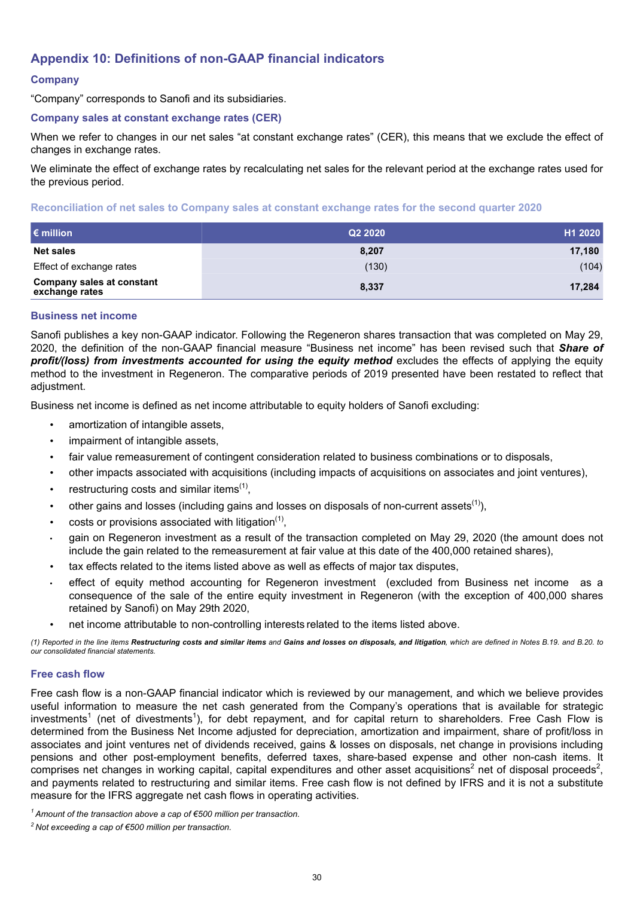## <span id="page-29-0"></span>**Appendix 10: Definitions of non-GAAP financial indicators**

### **Company**

"Company" corresponds to Sanofi and its subsidiaries.

#### **Company sales at constant exchange rates (CER)**

When we refer to changes in our net sales "at constant exchange rates" (CER), this means that we exclude the effect of changes in exchange rates.

We eliminate the effect of exchange rates by recalculating net sales for the relevant period at the exchange rates used for the previous period.

#### **Reconciliation of net sales to Company sales at constant exchange rates for the second quarter 2020**

| $\epsilon$ million                                 | Q2 2020 | H1 2020 |
|----------------------------------------------------|---------|---------|
| <b>Net sales</b>                                   | 8,207   | 17,180  |
| Effect of exchange rates                           | (130)   | (104)   |
| <b>Company sales at constant</b><br>exchange rates | 8,337   | 17,284  |

#### **Business net income**

Sanofi publishes a key non-GAAP indicator. Following the Regeneron shares transaction that was completed on May 29, 2020, the definition of the non-GAAP financial measure "Business net income" has been revised such that *Share of profit/(loss) from investments accounted for using the equity method* excludes the effects of applying the equity method to the investment in Regeneron. The comparative periods of 2019 presented have been restated to reflect that adjustment.

Business net income is defined as net income attributable to equity holders of Sanofi excluding:

- amortization of intangible assets,
- impairment of intangible assets,
- fair value remeasurement of contingent consideration related to business combinations or to disposals,
- other impacts associated with acquisitions (including impacts of acquisitions on associates and joint ventures),
- restructuring costs and similar items $(1)$ ,
- other gains and losses (including gains and losses on disposals of non-current assets<sup>(1)</sup>),
- $\bullet$  costs or provisions associated with litigation<sup>(1)</sup>,
- *•* gain on Regeneron investment as a result of the transaction completed on May 29, 2020 (the amount does not include the gain related to the remeasurement at fair value at this date of the 400,000 retained shares),
- tax effects related to the items listed above as well as effects of major tax disputes,
- *•* effect of equity method accounting for Regeneron investment (excluded from Business net income as a consequence of the sale of the entire equity investment in Regeneron (with the exception of 400,000 shares retained by Sanofi) on May 29th 2020,
- net income attributable to non-controlling interests related to the items listed above.

*(1) Reported in the line items Restructuring costs and similar items and Gains and losses on disposals, and litigation, which are defined in Notes B.19. and B.20. to our consolidated financial statements.*

#### **Free cash flow**

Free cash flow is a non-GAAP financial indicator which is reviewed by our management, and which we believe provides useful information to measure the net cash generated from the Company's operations that is available for strategic investments<sup>1</sup> (net of divestments<sup>1</sup>), for debt repayment, and for capital return to shareholders. Free Cash Flow is determined from the Business Net Income adjusted for depreciation, amortization and impairment, share of profit/loss in associates and joint ventures net of dividends received, gains & losses on disposals, net change in provisions including pensions and other post-employment benefits, deferred taxes, share-based expense and other non-cash items. It comprises net changes in working capital, capital expenditures and other asset acquisitions<sup>2</sup> net of disposal proceeds<sup>2</sup>, and payments related to restructuring and similar items. Free cash flow is not defined by IFRS and it is not a substitute measure for the IFRS aggregate net cash flows in operating activities.

*<sup>1</sup>Amount of the transaction above a cap of €500 million per transaction.*

*<sup>2</sup>Not exceeding a cap of €500 million per transaction.*